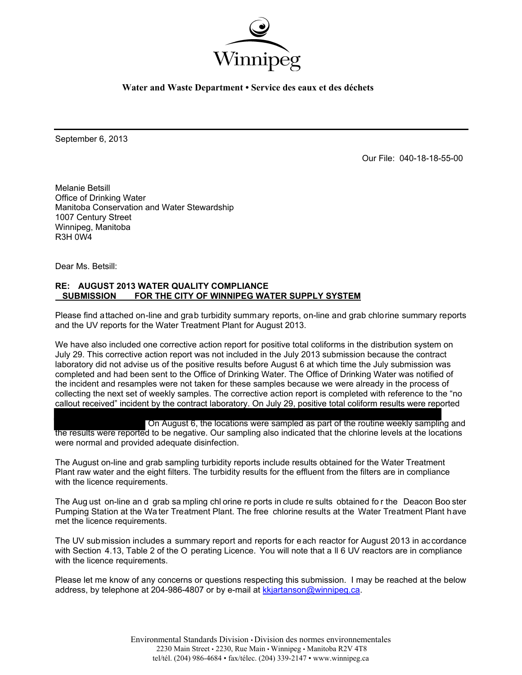

**Water and Waste Department • Service des eaux et des déchets** 

September 6, 2013

Our File: 040-18-18-55-00

Melanie Betsill Office of Drinking Water Manitoba Conservation and Water Stewardship 1007 Century Street Winnipeg, Manitoba R3H 0W4

Dear Ms. Betsill:

## **RE: AUGUST 2013 WATER QUALITY COMPLIANCE SUBMISSION FOR THE CITY OF WINNIPEG WATER SUPPLY SYSTEM**

Please find attached on-line and grab turbidity summary reports, on-line and grab chlorine summary reports and the UV reports for the Water Treatment Plant for August 2013.

We have also included one corrective action report for positive total coliforms in the distribution system on July 29. This corrective action report was not included in the July 2013 submission because the contract laboratory did not advise us of the positive results before August 6 at which time the July submission was completed and had been sent to the Office of Drinking Water. The Office of Drinking Water was notified of the incident and resamples were not taken for these samples because we were already in the process of collecting the next set of weekly samples. The corrective action report is completed with reference to the "no callout received" incident by the contract laboratory. On July 29, positive total coliform results were reported

On August 6, the locations were sampled as part of the routine weekly sampling and the results were reported to be negative. Our sampling also indicated that the chlorine levels at the locations were normal and provided adequate disinfection.

The August on-line and grab sampling turbidity reports include results obtained for the Water Treatment Plant raw water and the eight filters. The turbidity results for the effluent from the filters are in compliance with the licence requirements.

The Aug ust on-line an d grab sa mpling chl orine re ports in clude re sults obtained fo r the Deacon Boo ster Pumping Station at the Wa ter Treatment Plant. The free chlorine results at the Water Treatment Plant have met the licence requirements.

The UV submission includes a summary report and reports for each reactor for August 2013 in accordance with Section 4.13, Table 2 of the O perating Licence. You will note that a II 6 UV reactors are in compliance with the licence requirements.

Please let me know of any concerns or questions respecting this submission. I may be reached at the below address, by telephone at 204-986-4807 or by e-mail at kkjartanson@winnipeg.ca.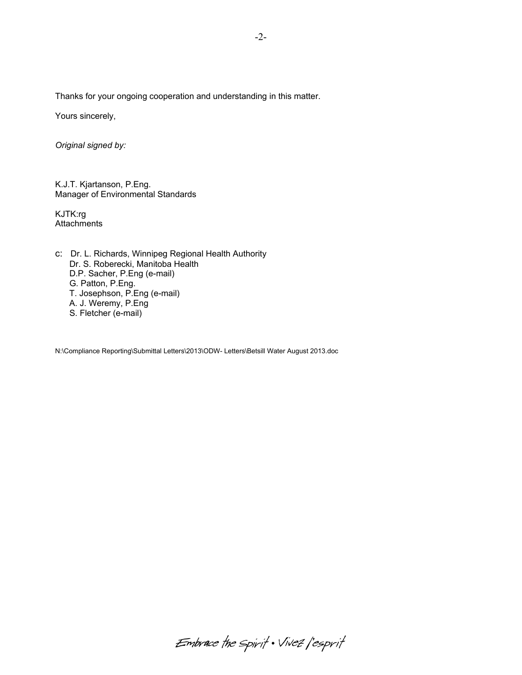Thanks for your ongoing cooperation and understanding in this matter.

Yours sincerely,

*Original signed by:* 

K.J.T. Kjartanson, P.Eng. Manager of Environmental Standards

KJTK:rg **Attachments** 

c: Dr. L. Richards, Winnipeg Regional Health Authority Dr. S. Roberecki, Manitoba Health D.P. Sacher, P.Eng (e-mail) G. Patton, P.Eng. T. Josephson, P.Eng (e-mail) A. J. Weremy, P.Eng S. Fletcher (e-mail)

N:\Compliance Reporting\Submittal Letters\2013\ODW- Letters\Betsill Water August 2013.doc

Embrace the spirit . Vivez l'esprit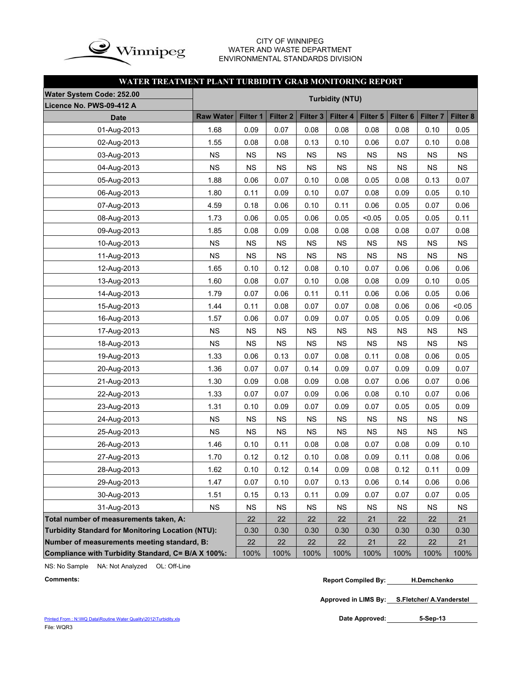

## CITY OF WINNIPEG WATER AND WASTE DEPARTMENT ENVIRONMENTAL STANDARDS DIVISION

## **WATER TREATMENT PLANT TURBIDITY GRAB MONITORING REPORT**

| Water System Code: 252.00                                |                  |           |                     |                     |                        |           |                 |           |           |
|----------------------------------------------------------|------------------|-----------|---------------------|---------------------|------------------------|-----------|-----------------|-----------|-----------|
| Licence No. PWS-09-412 A                                 |                  |           |                     |                     | <b>Turbidity (NTU)</b> |           |                 |           |           |
| <b>Date</b>                                              | <b>Raw Water</b> | Filter 1  | Filter <sub>2</sub> | Filter <sub>3</sub> | Filter 4               | Filter 5  | <b>Filter 6</b> | Filter 7  | Filter 8  |
| 01-Aug-2013                                              | 1.68             | 0.09      | 0.07                | 0.08                | 0.08                   | 0.08      | 0.08            | 0.10      | 0.05      |
| 02-Aug-2013                                              | 1.55             | 0.08      | 0.08                | 0.13                | 0.10                   | 0.06      | 0.07            | 0.10      | 0.08      |
| 03-Aug-2013                                              | <b>NS</b>        | <b>NS</b> | <b>NS</b>           | <b>NS</b>           | <b>NS</b>              | <b>NS</b> | <b>NS</b>       | <b>NS</b> | <b>NS</b> |
| 04-Aug-2013                                              | <b>NS</b>        | <b>NS</b> | NS                  | <b>NS</b>           | <b>NS</b>              | <b>NS</b> | <b>NS</b>       | <b>NS</b> | <b>NS</b> |
| 05-Aug-2013                                              | 1.88             | 0.06      | 0.07                | 0.10                | 0.08                   | 0.05      | 0.08            | 0.13      | 0.07      |
| 06-Aug-2013                                              | 1.80             | 0.11      | 0.09                | 0.10                | 0.07                   | 0.08      | 0.09            | 0.05      | 0.10      |
| 07-Aug-2013                                              | 4.59             | 0.18      | 0.06                | 0.10                | 0.11                   | 0.06      | 0.05            | 0.07      | 0.06      |
| 08-Aug-2013                                              | 1.73             | 0.06      | 0.05                | 0.06                | 0.05                   | < 0.05    | 0.05            | 0.05      | 0.11      |
| 09-Aug-2013                                              | 1.85             | 0.08      | 0.09                | 0.08                | 0.08                   | 0.08      | 0.08            | 0.07      | 0.08      |
| 10-Aug-2013                                              | <b>NS</b>        | <b>NS</b> | <b>NS</b>           | <b>NS</b>           | <b>NS</b>              | <b>NS</b> | <b>NS</b>       | <b>NS</b> | <b>NS</b> |
| 11-Aug-2013                                              | <b>NS</b>        | <b>NS</b> | NS                  | <b>NS</b>           | <b>NS</b>              | <b>NS</b> | <b>NS</b>       | <b>NS</b> | <b>NS</b> |
| 12-Aug-2013                                              | 1.65             | 0.10      | 0.12                | 0.08                | 0.10                   | 0.07      | 0.06            | 0.06      | 0.06      |
| 13-Aug-2013                                              | 1.60             | 0.08      | 0.07                | 0.10                | 0.08                   | 0.08      | 0.09            | 0.10      | 0.05      |
| 14-Aug-2013                                              | 1.79             | 0.07      | 0.06                | 0.11                | 0.11                   | 0.06      | 0.06            | 0.05      | 0.06      |
| 15-Aug-2013                                              | 1.44             | 0.11      | 0.08                | 0.07                | 0.07                   | 0.08      | 0.06            | 0.06      | < 0.05    |
| 16-Aug-2013                                              | 1.57             | 0.06      | 0.07                | 0.09                | 0.07                   | 0.05      | 0.05            | 0.09      | 0.06      |
| 17-Aug-2013                                              | <b>NS</b>        | <b>NS</b> | <b>NS</b>           | <b>NS</b>           | <b>NS</b>              | <b>NS</b> | <b>NS</b>       | <b>NS</b> | <b>NS</b> |
| 18-Aug-2013                                              | <b>NS</b>        | <b>NS</b> | <b>NS</b>           | <b>NS</b>           | <b>NS</b>              | <b>NS</b> | <b>NS</b>       | <b>NS</b> | <b>NS</b> |
| 19-Aug-2013                                              | 1.33             | 0.06      | 0.13                | 0.07                | 0.08                   | 0.11      | 0.08            | 0.06      | 0.05      |
| 20-Aug-2013                                              | 1.36             | 0.07      | 0.07                | 0.14                | 0.09                   | 0.07      | 0.09            | 0.09      | 0.07      |
| 21-Aug-2013                                              | 1.30             | 0.09      | 0.08                | 0.09                | 0.08                   | 0.07      | 0.06            | 0.07      | 0.06      |
| 22-Aug-2013                                              | 1.33             | 0.07      | 0.07                | 0.09                | 0.06                   | 0.08      | 0.10            | 0.07      | 0.06      |
| 23-Aug-2013                                              | 1.31             | 0.10      | 0.09                | 0.07                | 0.09                   | 0.07      | 0.05            | 0.05      | 0.09      |
| 24-Aug-2013                                              | <b>NS</b>        | <b>NS</b> | <b>NS</b>           | <b>NS</b>           | <b>NS</b>              | <b>NS</b> | <b>NS</b>       | <b>NS</b> | <b>NS</b> |
| 25-Aug-2013                                              | <b>NS</b>        | <b>NS</b> | NS                  | <b>NS</b>           | <b>NS</b>              | <b>NS</b> | <b>NS</b>       | <b>NS</b> | <b>NS</b> |
| 26-Aug-2013                                              | 1.46             | 0.10      | 0.11                | 0.08                | 0.08                   | 0.07      | 0.08            | 0.09      | 0.10      |
| 27-Aug-2013                                              | 1.70             | 0.12      | 0.12                | 0.10                | 0.08                   | 0.09      | 0.11            | 0.08      | 0.06      |
| 28-Aug-2013                                              | 1.62             | 0.10      | 0.12                | 0.14                | 0.09                   | 0.08      | 0.12            | 0.11      | 0.09      |
| 29-Aug-2013                                              | 1.47             | 0.07      | 0.10                | 0.07                | 0.13                   | 0.06      | 0.14            | 0.06      | 0.06      |
| 30-Aug-2013                                              | 1.51             | 0.15      | 0.13                | 0.11                | 0.09                   | 0.07      | 0.07            | 0.07      | 0.05      |
| 31-Aug-2013                                              | <b>NS</b>        | <b>NS</b> | <b>NS</b>           | <b>NS</b>           | <b>NS</b>              | <b>NS</b> | <b>NS</b>       | <b>NS</b> | <b>NS</b> |
| Total number of measurements taken, A:                   |                  | 22        | 22                  | 22                  | 22                     | 21        | 22              | 22        | 21        |
| <b>Turbidity Standard for Monitoring Location (NTU):</b> |                  | 0.30      | 0.30                | 0.30                | 0.30                   | 0.30      | 0.30            | 0.30      | 0.30      |
| Number of measurements meeting standard, B:              |                  | 22        | 22                  | 22                  | 22                     | 21        | 22              | 22        | 21        |
| Compliance with Turbidity Standard, C= B/A X 100%:       |                  | 100%      | 100%                | 100%                | 100%                   | 100%      | 100%            | 100%      | 100%      |

NS: No Sample NA: Not Analyzed OL: Off-Line

```
Comments: Report Compiled By:
H.Demchenko
```
**Approved in LIMS By: S.Fletcher/ A.Vanderstel**

Date Approved: 5-Sep-13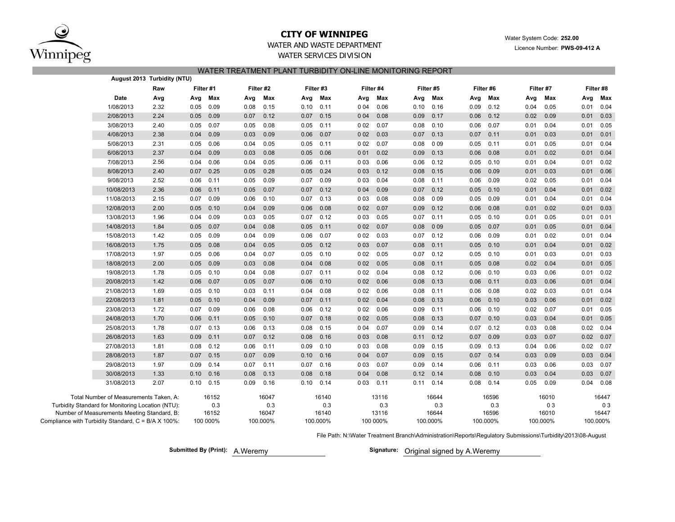

## **CITY OF WINNIPEG**

Water System Code: **252.00**

Licence Number: **PWS-09-412 A**

# WATER AND WASTE DEPARTMENT

WATER SERVICES DIVISION

| WATER TREATMENT PLANT TURBIDITY ON-LINE MONITORING REPORT |  |  |
|-----------------------------------------------------------|--|--|

|                                                     |                                             | August 2013 Turbidity (NTU) |           |          |      |           |      |           |       |           |      |           |      |           |      |           |      |             |
|-----------------------------------------------------|---------------------------------------------|-----------------------------|-----------|----------|------|-----------|------|-----------|-------|-----------|------|-----------|------|-----------|------|-----------|------|-------------|
|                                                     |                                             | Raw                         | Filter #1 |          |      | Filter #2 |      | Filter #3 |       | Filter #4 |      | Filter #5 |      | Filter #6 |      | Filter #7 |      | Filter #8   |
|                                                     | Date                                        | Avg                         | Avg       | Max      | Avg  | Max       | Avg  | Max       | Avg   | Max       | Avg  | Max       | Avg  | Max       | Avg  | Max       | Avg  | Max         |
|                                                     | 1/08/2013                                   | 2.32                        | 0.05      | 0.09     | 0.08 | 0.15      | 0.10 | 0.11      | 004   | 0.06      | 0.10 | 0.16      | 0.09 | 0.12      | 0.04 | 0.05      | 0.01 | 0.04        |
|                                                     | 2/08/2013                                   | 2.24                        | 0.05      | 0.09     | 0.07 | 0.12      | 0.07 | 0.15      | 004   | 0.08      | 0.09 | 0.17      | 0.06 | 0.12      | 0.02 | 0.09      | 0.01 | 0.03        |
|                                                     | 3/08/2013                                   | 2.40                        | 0.05      | 0.07     | 0.05 | 0.08      | 0.05 | 0.11      | 002   | 0.07      | 0.08 | 0.10      | 0.06 | 0.07      | 0.01 | 0.04      | 0.01 | 0.05        |
|                                                     | 4/08/2013                                   | 2.38                        | 0.04      | 0.09     | 0.03 | 0.09      | 0.06 | 0.07      | 002   | 0.03      | 0.07 | 0.13      | 0.07 | 0.11      | 0.01 | 0.03      |      | $0.01$ 0.01 |
|                                                     | 5/08/2013                                   | 2.31                        | 0.05      | 0.06     | 0.04 | 0.05      | 0.05 | 0.11      | 002   | 0.07      | 0.08 | 009       | 0.05 | 0.11      | 0.01 | 0.05      | 0.01 | 0.04        |
|                                                     | 6/08/2013                                   | 2.37                        | 0.04      | 0.09     | 0.03 | 0.08      | 0.05 | 0.06      | 001   | 0.02      | 0.09 | 0.13      | 0.06 | 0.08      | 0.01 | 0.02      | 0.01 | 0.04        |
|                                                     | 7/08/2013                                   | 2.56                        | 0.04      | 0.06     | 0.04 | 0.05      | 0.06 | 0.11      | 0 0 3 | 0.06      | 0.06 | 0.12      | 0.05 | 0.10      | 0.01 | 0.04      | 0.01 | 0.02        |
|                                                     | 8/08/2013                                   | 2.40                        | 0.07      | 0.25     | 0.05 | 0.28      | 0.05 | 0.24      | 0 0 3 | 0.12      | 0.08 | 0.15      | 0.06 | 0.09      | 0.01 | 0.03      | 0.01 | 0.06        |
|                                                     | 9/08/2013                                   | 2.52                        | 0.06      | 0.11     | 0.05 | 0.09      | 0.07 | 0.09      | 0 0 3 | 0.04      | 0.08 | 0.11      | 0.06 | 0.09      | 0.02 | 0.05      | 0.01 | 0.04        |
|                                                     | 10/08/2013                                  | 2.36                        | 0.06      | 0.11     | 0.05 | 0.07      | 0.07 | 0.12      | 004   | 0.09      | 0.07 | 0.12      | 0.05 | 0.10      | 0.01 | 0.04      | 0.01 | 0.02        |
|                                                     | 11/08/2013                                  | 2.15                        | 0.07      | 0.09     | 0.06 | 0.10      | 0.07 | 0.13      | 0 0 3 | 0.08      | 0.08 | 009       | 0.05 | 0.09      | 0.01 | 0.04      | 0.01 | 0.04        |
|                                                     | 12/08/2013                                  | 2.00                        | 0.05      | 0.10     | 0.04 | 0.09      | 0.06 | 0.08      | 002   | 0.07      | 0.09 | 0.12      | 0.06 | 0.08      | 0.01 | 0.02      | 0.01 | 0.03        |
|                                                     | 13/08/2013                                  | 1.96                        | 0.04      | 0.09     | 0.03 | 0.05      | 0.07 | 0.12      | 0 0 3 | 0.05      | 0.07 | 0.11      | 0.05 | 0.10      | 0.01 | 0.05      | 0.01 | 0.01        |
|                                                     | 14/08/2013                                  | 1.84                        | 0.05      | 0.07     | 0.04 | 0.08      | 0.05 | 0.11      | 002   | 0.07      | 0.08 | 009       | 0.05 | 0.07      | 0.01 | 0.05      | 0.01 | 0.04        |
|                                                     | 15/08/2013                                  | 1.42                        | 0.05      | 0.09     | 0.04 | 0.09      | 0.06 | 0.07      | 002   | 0.03      | 0.07 | 0.12      | 0.06 | 0.09      | 0.01 | 0.02      | 0.01 | 0.04        |
|                                                     | 16/08/2013                                  | 1.75                        | 0.05      | 0.08     | 0.04 | 0.05      | 0.05 | 0.12      | 0 0 3 | 0.07      | 0.08 | 0.11      | 0.05 | 0.10      | 0.01 | 0.04      | 0.01 | 0.02        |
|                                                     | 17/08/2013                                  | 1.97                        | 0.05      | 0.06     | 0.04 | 0.07      | 0.05 | 0.10      | 002   | 0.05      | 0.07 | 0.12      | 0.05 | 0.10      | 0.01 | 0.03      | 0.01 | 0.03        |
|                                                     | 18/08/2013                                  | 2.00                        | 0.05      | 0.09     | 0.03 | 0.08      | 0.04 | 0.08      | 002   | 0.05      | 0.08 | 0.11      | 0.05 | 0.08      | 0.02 | 0.04      | 0.01 | 0.05        |
|                                                     | 19/08/2013                                  | 1.78                        | 0.05      | 0.10     | 0.04 | 0.08      | 0.07 | 0.11      | 002   | 0.04      | 0.08 | 0.12      | 0.06 | 0.10      | 0.03 | 0.06      | 0.01 | 0.02        |
|                                                     | 20/08/2013                                  | 1.42                        | 0.06      | 0.07     | 0.05 | 0.07      | 0.06 | 0.10      | 002   | 0.06      | 0.08 | 0.13      | 0.06 | 0.11      | 0.03 | 0.06      | 0.01 | 0.04        |
|                                                     | 21/08/2013                                  | 1.69                        | 0.05      | 0.10     | 0.03 | 0.11      | 0.04 | 0.08      | 002   | 0.06      | 0.08 | 0.11      | 0.06 | 0.08      | 0.02 | 0.03      | 0.01 | 0.04        |
|                                                     | 22/08/2013                                  | 1.81                        | 0.05      | 0.10     | 0.04 | 0.09      | 0.07 | 0.11      | 002   | 0.04      | 0.08 | 0.13      | 0.06 | 0.10      | 0.03 | 0.06      | 0.01 | 0.02        |
|                                                     | 23/08/2013                                  | 1.72                        | 0.07      | 0.09     | 0.06 | 0.08      | 0.06 | 0.12      | 0 0 2 | 0.06      | 0.09 | 0.11      | 0.06 | 0.10      | 0.02 | 0.07      | 0.01 | 0.05        |
|                                                     | 24/08/2013                                  | 1.70                        | 0.06      | 0.11     | 0.05 | 0.10      | 0.07 | 0.18      | 002   | 0.05      | 0.08 | 0.13      | 0.07 | 0.10      | 0.03 | 0.04      | 0.01 | 0.05        |
|                                                     | 25/08/2013                                  | 1.78                        | 0.07      | 0.13     | 0.06 | 0.13      | 0.08 | 0.15      | 0 0 4 | 0.07      | 0.09 | 0.14      | 0.07 | 0.12      | 0.03 | 0.08      | 0.02 | 0.04        |
|                                                     | 26/08/2013                                  | 1.63                        | 0.09      | 0.11     | 0.07 | 0.12      | 0.08 | 0.16      | 0 0 3 | 0.08      | 0.11 | 0.12      | 0.07 | 0.09      | 0.03 | 0.07      | 0.02 | 0.07        |
|                                                     | 27/08/2013                                  | 1.81                        | 0.08      | 0.12     | 0.06 | 0.11      | 0.09 | 0.10      | 0 0 3 | 0.08      | 0.09 | 0.15      | 0.09 | 0.13      | 0.04 | 0.06      | 0.02 | 0.07        |
|                                                     | 28/08/2013                                  | 1.87                        | 0.07      | 0.15     | 0.07 | 0.09      | 0.10 | 0.16      | 004   | 0.07      | 0.09 | 0.15      | 0.07 | 0.14      | 0.03 | 0.09      | 0.03 | 0.04        |
|                                                     | 29/08/2013                                  | 1.97                        | 0.09      | 0.14     | 0.07 | 0.11      | 0.07 | 0.16      | 0 0 3 | 0.07      | 0.09 | 0.14      | 0.06 | 0.11      | 0.03 | 0.06      | 0.03 | 0.07        |
|                                                     | 30/08/2013                                  | 1.33                        | 0.10      | 0.16     | 0.08 | 0.13      | 0.08 | 0.18      | 004   | 0.08      | 0.12 | 0.14      | 0.08 | 0.10      | 0.03 | 0.04      | 0.03 | 0.07        |
|                                                     | 31/08/2013                                  | 2.07                        | 0.10      | 0.15     | 0.09 | 0.16      | 0.10 | 0.14      | 0 0 3 | 0.11      | 0.11 | 0.14      | 0.08 | 0.14      | 0.05 | 0.09      | 0.04 | 0.08        |
|                                                     | Total Number of Measurements Taken, A:      |                             |           | 16152    |      | 16047     |      | 16140     |       | 13116     |      | 16644     |      | 16596     |      | 16010     |      | 16447       |
| Turbidity Standard for Monitoring Location (NTU):   |                                             |                             |           | 0.3      |      | 0.3       |      | 0.3       |       | 0.3       |      | 0.3       |      | 0.3       |      | 03        |      | 03          |
|                                                     | Number of Measurements Meeting Standard, B: |                             |           | 16152    |      | 16047     |      | 16140     |       | 13116     |      | 16644     |      | 16596     |      | 16010     |      | 16447       |
| Compliance with Turbidity Standard, C = B/A X 100%: |                                             |                             |           | 100 000% |      | 100.000%  |      | 100.000%  |       | 100 000%  |      | 100.000%  |      | 100.000%  |      | 100.000%  |      | 100.000%    |

File Path: N:\Water Treatment Branch\Administration\Reports\Regulatory Submissions\Turbidity\2013\08-August

**Submitted By (Print):** A. Weremy

Signature: Original signed by A.Weremy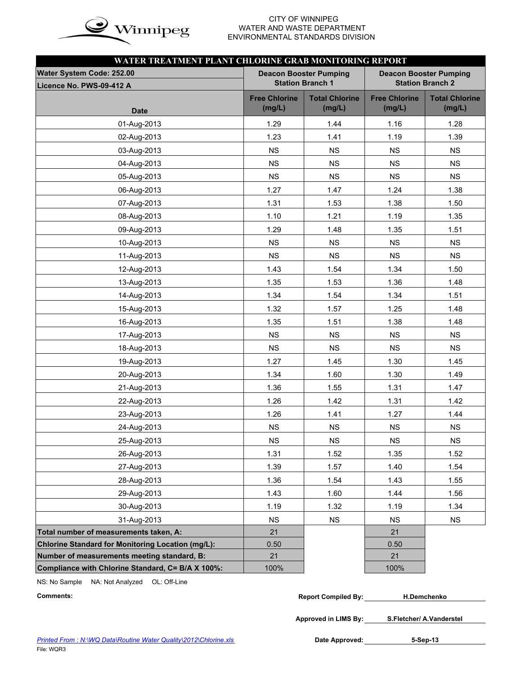

# WATER AND WASTE DEPARTMENT ENVIRONMENTAL STANDARDS DIVISION

| WATER TREATMENT PLANT CHLORINE GRAB MONITORING REPORT    |                                |                                                          |                                |                                                          |
|----------------------------------------------------------|--------------------------------|----------------------------------------------------------|--------------------------------|----------------------------------------------------------|
| Water System Code: 252.00                                |                                | <b>Deacon Booster Pumping</b><br><b>Station Branch 1</b> |                                | <b>Deacon Booster Pumping</b><br><b>Station Branch 2</b> |
| Licence No. PWS-09-412 A                                 |                                |                                                          |                                |                                                          |
| <b>Date</b>                                              | <b>Free Chlorine</b><br>(mg/L) | <b>Total Chlorine</b><br>(mg/L)                          | <b>Free Chlorine</b><br>(mg/L) | <b>Total Chlorine</b><br>(mg/L)                          |
| 01-Aug-2013                                              | 1.29                           | 1.44                                                     | 1.16                           | 1.28                                                     |
| 02-Aug-2013                                              | 1.23                           | 1.41                                                     | 1.19                           | 1.39                                                     |
| 03-Aug-2013                                              | <b>NS</b>                      | <b>NS</b>                                                | <b>NS</b>                      | <b>NS</b>                                                |
| 04-Aug-2013                                              | <b>NS</b>                      | <b>NS</b>                                                | <b>NS</b>                      | <b>NS</b>                                                |
| 05-Aug-2013                                              | <b>NS</b>                      | <b>NS</b>                                                | <b>NS</b>                      | <b>NS</b>                                                |
| 06-Aug-2013                                              | 1.27                           |                                                          | 1.24                           | 1.38                                                     |
| 07-Aug-2013                                              | 1.31                           | 1.47<br>1.53                                             | 1.38                           | 1.50                                                     |
|                                                          | 1.10                           | 1.21                                                     | 1.19                           | 1.35                                                     |
| 08-Aug-2013                                              | 1.29                           | 1.48                                                     | 1.35                           | 1.51                                                     |
| 09-Aug-2013                                              | <b>NS</b>                      | <b>NS</b>                                                | <b>NS</b>                      | <b>NS</b>                                                |
| 10-Aug-2013                                              |                                |                                                          |                                |                                                          |
| 11-Aug-2013                                              | <b>NS</b>                      | <b>NS</b>                                                | <b>NS</b>                      | <b>NS</b>                                                |
| 12-Aug-2013                                              | 1.43                           | 1.54                                                     | 1.34                           | 1.50                                                     |
| 13-Aug-2013                                              | 1.35                           | 1.53                                                     | 1.36                           | 1.48                                                     |
| 14-Aug-2013                                              | 1.34                           | 1.54                                                     | 1.34                           | 1.51                                                     |
| 15-Aug-2013                                              | 1.32                           | 1.57                                                     | 1.25                           | 1.48                                                     |
| 16-Aug-2013                                              | 1.35                           | 1.51                                                     | 1.38                           | 1.48                                                     |
| 17-Aug-2013                                              | NS                             | NS                                                       | NS                             | NS                                                       |
| 18-Aug-2013                                              | <b>NS</b>                      | <b>NS</b>                                                | <b>NS</b>                      | <b>NS</b>                                                |
| 19-Aug-2013                                              | 1.27                           | 1.45                                                     | 1.30                           | 1.45                                                     |
| 20-Aug-2013                                              | 1.34                           | 1.60                                                     | 1.30                           | 1.49                                                     |
| 21-Aug-2013                                              | 1.36                           | 1.55                                                     | 1.31                           | 1.47                                                     |
| 22-Aug-2013                                              | 1.26                           | 1.42                                                     | 1.31                           | 1.42                                                     |
| 23-Aug-2013                                              | 1.26                           | 1.41                                                     | 1.27                           | 1.44                                                     |
| 24-Aug-2013                                              | NS                             | NS                                                       | NS                             | NS                                                       |
| 25-Aug-2013                                              | NS                             | <b>NS</b>                                                | NS                             | NS                                                       |
| 26-Aug-2013                                              | 1.31                           | 1.52                                                     | 1.35                           | 1.52                                                     |
| 27-Aug-2013                                              | 1.39                           | 1.57                                                     | 1.40                           | 1.54                                                     |
| 28-Aug-2013                                              | 1.36                           | 1.54                                                     | 1.43                           | 1.55                                                     |
| 29-Aug-2013                                              | 1.43                           | 1.60                                                     | 1.44                           | 1.56                                                     |
| 30-Aug-2013                                              | 1.19                           | 1.32                                                     | 1.19                           | 1.34                                                     |
| 31-Aug-2013                                              | <b>NS</b>                      | <b>NS</b>                                                | <b>NS</b>                      | <b>NS</b>                                                |
| Total number of measurements taken, A:                   | 21                             |                                                          | 21                             |                                                          |
| <b>Chlorine Standard for Monitoring Location (mg/L):</b> | 0.50                           |                                                          | 0.50                           |                                                          |
| Number of measurements meeting standard, B:              | 21                             |                                                          | 21                             |                                                          |
| Compliance with Chlorine Standard, C= B/A X 100%:        | 100%                           |                                                          | 100%                           |                                                          |

NS: No Sample NA: Not Analyzed OL: Off-Line

| Comments: | <b>Report Compiled By:</b> | <b>H.Demchenko</b> |  |
|-----------|----------------------------|--------------------|--|
|-----------|----------------------------|--------------------|--|

**Approved in LIMS By: S.Fletcher/ A.Vanderstel**

Date Approved: 5-Sep-13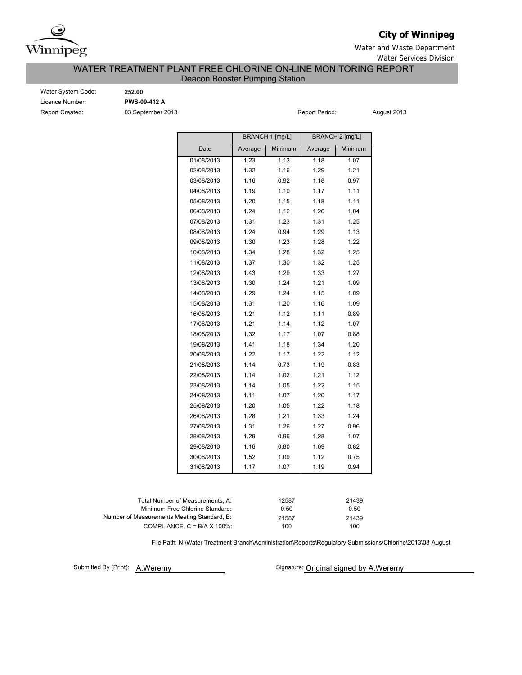

## **City of Winnipeg**

Water and Waste Department Water Services Division

## WATER TREATMENT PLANT FREE CHLORINE ON-LINE MONITORING REPORT Deacon Booster Pumping Station

Water System Code: **252.00** Licence Number: **PWS-09-412 A** Report Created: **03 September 2013 Report Period:** August 2013

|            |         | BRANCH 1 [mg/L] |         | <b>BRANCH 2 [mg/L]</b> |
|------------|---------|-----------------|---------|------------------------|
| Date       | Average | Minimum         | Average | Minimum                |
| 01/08/2013 | 1.23    | 1.13            | 1.18    | 1.07                   |
| 02/08/2013 | 1.32    | 1.16            | 1.29    | 1.21                   |
| 03/08/2013 | 1.16    | 0.92            | 1.18    | 0.97                   |
| 04/08/2013 | 1.19    | 1.10            | 1.17    | 1.11                   |
| 05/08/2013 | 1.20    | 1.15            | 1.18    | 1.11                   |
| 06/08/2013 | 1.24    | 1.12            | 1.26    | 1.04                   |
| 07/08/2013 | 1.31    | 1.23            | 1.31    | 1.25                   |
| 08/08/2013 | 1.24    | 0.94            | 1.29    | 1.13                   |
| 09/08/2013 | 1.30    | 1.23            | 1.28    | 1.22                   |
| 10/08/2013 | 1.34    | 1.28            | 1.32    | 1.25                   |
| 11/08/2013 | 1.37    | 1.30            | 1.32    | 1.25                   |
| 12/08/2013 | 1.43    | 1.29            | 1.33    | 1.27                   |
| 13/08/2013 | 1.30    | 1.24            | 1.21    | 1.09                   |
| 14/08/2013 | 1.29    | 1.24            | 1.15    | 1.09                   |
| 15/08/2013 | 1.31    | 1.20            | 1.16    | 1.09                   |
| 16/08/2013 | 1.21    | 1.12            | 1.11    | 0.89                   |
| 17/08/2013 | 1.21    | 1.14            | 1.12    | 1.07                   |
| 18/08/2013 | 1.32    | 1.17            | 1.07    | 0.88                   |
| 19/08/2013 | 1.41    | 1.18            | 1.34    | 1.20                   |
| 20/08/2013 | 1.22    | 1.17            | 1.22    | 1.12                   |
| 21/08/2013 | 1.14    | 0.73            | 1.19    | 0.83                   |
| 22/08/2013 | 1.14    | 1.02            | 1.21    | 1.12                   |
| 23/08/2013 | 1.14    | 1.05            | 1.22    | 1.15                   |
| 24/08/2013 | 1.11    | 1.07            | 1.20    | 1.17                   |
| 25/08/2013 | 1.20    | 1.05            | 1.22    | 1.18                   |
| 26/08/2013 | 1.28    | 1.21            | 1.33    | 1.24                   |
| 27/08/2013 | 1.31    | 1.26            | 1.27    | 0.96                   |
| 28/08/2013 | 1.29    | 0.96            | 1.28    | 1.07                   |
| 29/08/2013 | 1.16    | 0.80            | 1.09    | 0.82                   |
| 30/08/2013 | 1.52    | 1.09            | 1.12    | 0.75                   |
| 31/08/2013 | 1.17    | 1.07            | 1.19    | 0.94                   |

| 12587 | 21439 |
|-------|-------|
| 0.50  | 0.50  |
| 21587 | 21439 |
| 100   | 100   |
|       |       |

File Path: N:\Water Treatment Branch\Administration\Reports\Regulatory Submissions\Chlorine\2013\08-August

Submitted By (Print): A.Weremy

Signature: Original signed by A.Weremy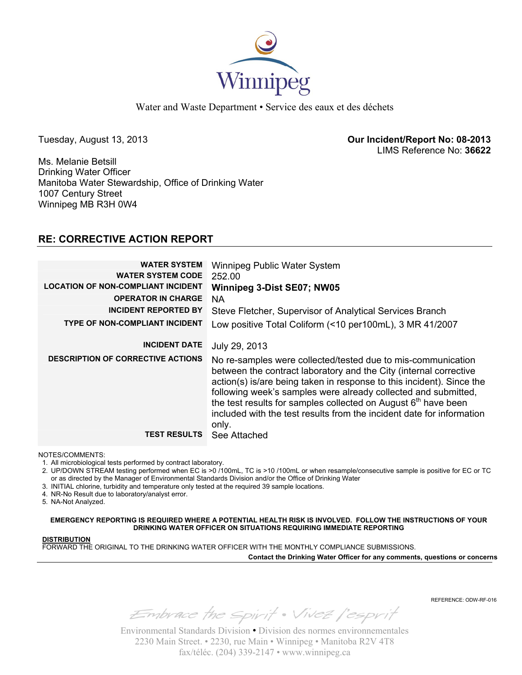

Water and Waste Department • Service des eaux et des déchets

Tuesday, August 13, 2013 **Our Incident/Report No: 08-2013**  LIMS Reference No: **36622**

Ms. Melanie Betsill Drinking Water Officer Manitoba Water Stewardship, Office of Drinking Water 1007 Century Street Winnipeg MB R3H 0W4

## **RE: CORRECTIVE ACTION REPORT**

| <b>WATER SYSTEM</b><br><b>WATER SYSTEM CODE</b><br><b>LOCATION OF NON-COMPLIANT INCIDENT</b><br><b>OPERATOR IN CHARGE</b><br><b>INCIDENT REPORTED BY</b><br><b>TYPE OF NON-COMPLIANT INCIDENT</b> | Winnipeg Public Water System<br>252.00<br>Winnipeg 3-Dist SE07; NW05<br>NA<br>Steve Fletcher, Supervisor of Analytical Services Branch<br>Low positive Total Coliform (<10 per100mL), 3 MR 41/2007                                                                                                                                                                                                                                           |
|---------------------------------------------------------------------------------------------------------------------------------------------------------------------------------------------------|----------------------------------------------------------------------------------------------------------------------------------------------------------------------------------------------------------------------------------------------------------------------------------------------------------------------------------------------------------------------------------------------------------------------------------------------|
| <b>INCIDENT DATE</b>                                                                                                                                                                              | July 29, 2013                                                                                                                                                                                                                                                                                                                                                                                                                                |
| <b>DESCRIPTION OF CORRECTIVE ACTIONS</b>                                                                                                                                                          | No re-samples were collected/tested due to mis-communication<br>between the contract laboratory and the City (internal corrective<br>action(s) is/are being taken in response to this incident). Since the<br>following week's samples were already collected and submitted,<br>the test results for samples collected on August 6 <sup>th</sup> have been<br>included with the test results from the incident date for information<br>only. |
| <b>TEST RESULTS</b>                                                                                                                                                                               | See Attached                                                                                                                                                                                                                                                                                                                                                                                                                                 |

## NOTES/COMMENTS:

1. All microbiological tests performed by contract laboratory.

2. UP/DOWN STREAM testing performed when EC is >0 /100mL, TC is >10 /100mL or when resample/consecutive sample is positive for EC or TC or as directed by the Manager of Environmental Standards Division and/or the Office of Drinking Water

- 3. INITIAL chlorine, turbidity and temperature only tested at the required 39 sample locations.
- 4. NR-No Result due to laboratory/analyst error.
- 5. NA-Not Analyzed.

**EMERGENCY REPORTING IS REQUIRED WHERE A POTENTIAL HEALTH RISK IS INVOLVED. FOLLOW THE INSTRUCTIONS OF YOUR DRINKING WATER OFFICER ON SITUATIONS REQUIRING IMMEDIATE REPORTING**

## **DISTRIBUTION**

FORWARD THE ORIGINAL TO THE DRINKING WATER OFFICER WITH THE MONTHLY COMPLIANCE SUBMISSIONS.

**Contact the Drinking Water Officer for any comments, questions or concerns**

REFERENCE: ODW-RF-016

Embrace the spirit . Vivez l'esprit

Environmental Standards Division • Division des normes environnementales 2230 Main Street. • 2230, rue Main • Winnipeg • Manitoba R2V 4T8 fax/téléc. (204) 339-2147 • www.winnipeg.ca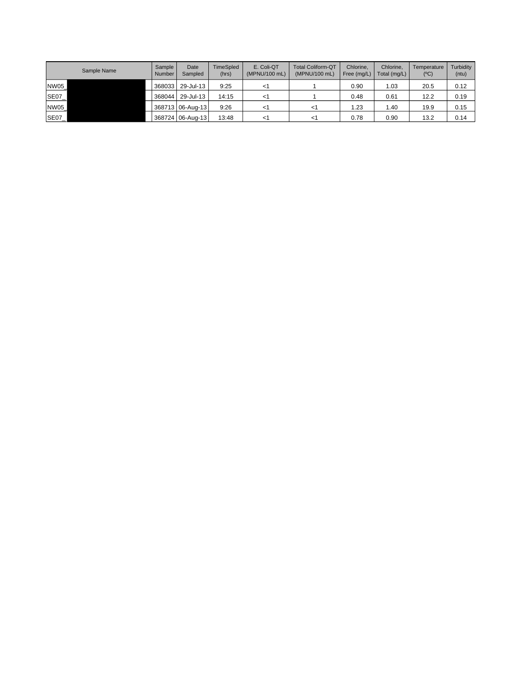| Sample Name | Sample<br>Number | Date<br>Sampled  | <b>TimeSpled</b><br>(hrs) | E. Coli-QT<br>(MPNU/100 mL) | <b>Total Coliform-QT</b><br>(MPNU/100 mL) | Chlorine.<br>Free (mg/L) | Chlorine.<br>Total (mg/L) | Temperature<br>(C) | Turbidity<br>(ntu) |
|-------------|------------------|------------------|---------------------------|-----------------------------|-------------------------------------------|--------------------------|---------------------------|--------------------|--------------------|
| <b>NW05</b> |                  | 368033 29-Jul-13 | 9:25                      | < ⊧                         |                                           | 0.90                     | 1.03                      | 20.5               | 0.12               |
| SE07_       | 368044           | 29-Jul-13        | 14:15                     | <1                          |                                           | 0.48                     | 0.61                      | 12.2               | 0.19               |
| NW05        |                  | 368713 06-Aug-13 | 9:26                      |                             |                                           | 1.23                     | 1.40                      | 19.9               | 0.15               |
| <b>SE07</b> |                  | 368724 06-Aug-13 | 13:48                     | <1                          | <1                                        | 0.78                     | 0.90                      | 13.2               | 0.14               |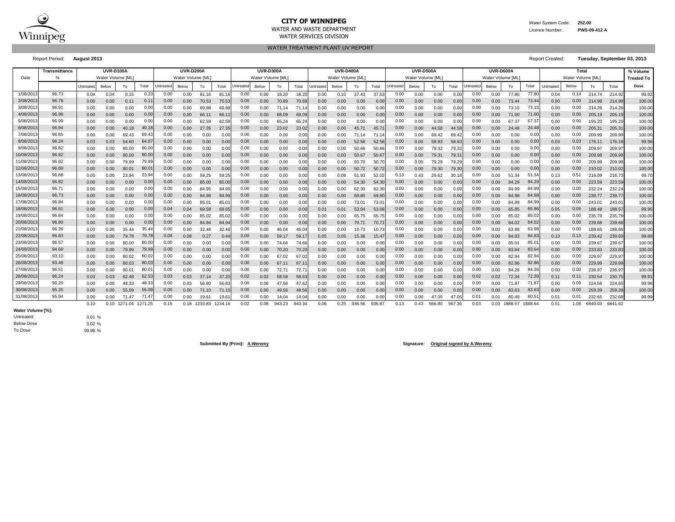

## **CITY OF WINNIPEG** WATER MANUSCRIPT WATER System Code: 252.00 WATER AND WASTE DEPARTMENT Licence Number: **PWS-09-412 A**

WATER SERVICES DIVISION

WATER TREATMENT PLANT UV REPORT

Report Period: **August 2013** Report Created: **Tuesday, September 03, 2013**

|           | <b>Transmittance</b> |           | <b>UVR-D100A</b><br>Water Volume [ML] |              |                   |                  | <b>UVR-D200A</b><br>Water Volume [ML] |              |         |                  | <b>UVR-D300A</b><br>Water Volume IML |        |        |                  | <b>UVR-D400A</b><br>Water Volume [ML] |        |        |                  | <b>UVR-D500A</b><br>Water Volume IML |        |        |           | UVR-D600A<br>Water Volume IML |                |         |           | Total<br>Water Volume [ML] |         |         | % Volume          |
|-----------|----------------------|-----------|---------------------------------------|--------------|-------------------|------------------|---------------------------------------|--------------|---------|------------------|--------------------------------------|--------|--------|------------------|---------------------------------------|--------|--------|------------------|--------------------------------------|--------|--------|-----------|-------------------------------|----------------|---------|-----------|----------------------------|---------|---------|-------------------|
| Date      |                      |           |                                       |              | Total             |                  |                                       |              |         |                  |                                      |        |        |                  |                                       |        |        |                  |                                      |        |        |           |                               |                |         |           |                            |         |         | <b>Treated To</b> |
|           |                      | Untreated | Below                                 | To           |                   | <b>Jntreated</b> | Below                                 | To           | Total   | <b>Jntreated</b> | Below                                | To     | Total  | <b>Untreated</b> | Below                                 | To     | Total  | <b>Jntreated</b> | Below                                | To     | Total  | Untreated | Below                         | To             | Total   | Untreated | Below                      | To      | Total   | Dose              |
| 1/08/201  | 96.73                | 0.04      | 0.04                                  | 0.15         | 0.23              | 0.00             | 0.00                                  | 81.16        | 81.16   | 0.00             | 0.00                                 | 18.20  | 18.20  | 0.00             | 0.10                                  | 37.43  | 37.53  | 0.00             | 0.00                                 | 0.00   | 0.00   | 0.00      | 0.00                          | 77.80          | 77.8    | 0.04      | 0.14                       | 214.74  | 214.92  | 99.92             |
| 2/08/201  | 96.78                | 0.00      | 0.00                                  | 0.11         | $0.1^{\circ}$     | 0.00             | 0.00                                  | 70.53        | 70.53   | 0.00             | 0.00                                 | 70.89  | 70.8   | 0.00             | 0.00                                  | 0.00   | 0.00   | 0.00             | 0.00                                 | 0.00   | 0.00   | 0.00      | 0.00                          | 73.44          | 73.44   | 0.00      | 0.00                       | 214.98  | 214.98  | 100.00            |
| 3/08/201  | 96.91                | 0.00      | 0.00                                  | 0.00         | 0.00              | 0.00             | 0.00                                  | 69.98        | 69.98   | 0.00             | 0.00                                 | 71.14  | 71.14  | 0.00             | 0.00                                  | 0.00   | 0.00   | 0.00             | 0.00                                 | 0.00   | 0.00   | 0.00      | 0.00                          | 73.15          | 73.1    | 0.00      | 0.00                       | 214.26  | 214.26  | 100.00            |
| 4/08/201  | 96.96                | 0.00      | 0.00                                  | 0.00         | 0.00              | 0.00             | 0.00                                  | 66.11        | 66.1    | 0.00             | 0.00                                 | 68.09  | 68.0   | 0.00             | 0.00                                  | 0.00   | 0.00   | 0.00             | 0.00                                 | 0.00   | 0.00   | 0.00      | 0.00                          | 71.00          | 71.0    | 0.00      | 0.00                       | 205.19  | 205.19  | 100.00            |
| 5/08/201  | 96.99                | 0.00      | 0.00                                  | 0.00         | 0.00              | 0.00             | 0.00                                  | 62.59        | 62.59   | 0.00             | 0.00                                 | 65.24  | 65.2   | 0.00             | 0.00                                  | 0.00   | 0.00   | 0.00             | 0.00                                 | 0.00   | 0.0    | 0.00      | 0.00                          | 67.37          | 67.37   | 0.00      | 0.00                       | 195.20  | 195.20  | 100.00            |
| 6/08/201  | 96.94                | 0.00      | 0.00                                  | 40.18        | 40.1              | 0.00             | 0.00                                  | 27.35        | 27.35   | 0.00             | 0.00                                 | 23.02  | 23.0   | 0.00             | 0.00                                  | 45.71  | 45.7   | 0.00             | 0.00                                 | 44.58  | 44.58  | 0.00      | 0.00                          | 24.48          | 24.4    | 0.00      | 0.00                       | 205.31  | 205.31  | 100.00            |
| 7/08/201  | 96.85                | 0.00      | 0.00                                  | 69.43        | 69.4              | 0.00             | 0.00                                  | 0.00         | 0.0     | 0.00             | 0.00                                 | 0.00   | 0.0    | 0.00             | 0.00                                  | 71.14  | 71.1   | 0.00             | 0.00                                 | 69.42  | 69.4   | 0.00      | 0.00                          | 0.00           | 0.0     | 0.00      | 0.00                       | 209.99  | 209.99  | 100.00            |
| 8/08/201  | 96.24                | 0.03      | 0.03                                  | 64.60        | 64.6              | 0.00             | 0.00                                  | 0.00         | 0.0(    | 0.00             | 0.00                                 | 0.00   | 0.0    | 0.00             | 0.00                                  | 52.58  | 52.58  | 0.00             | 0.00                                 | 58.93  | 58.93  | 0.00      | 0.00                          | 0.00           | 0.0     | 0.03      | 0.03                       | 176.11  | 176.18  | 99.96             |
| 9/08/201  | 96.82                | 0.00      | 0.00                                  | 80.00        | 80.00             | 0.00             | 0.00                                  | 0.00         | 0.01    | 0.00             | 0.00                                 | 0.00   | 0.0    | 0.00             | 0.00                                  | 50.66  | 50.66  | 0.00             | 0.00                                 | 79.32  | 79.32  | 0.00      | 0.00                          | 0.00           | 0.00    | 0.00      | 0.00                       | 209.97  | 209.97  | 100.00            |
| 10/08/201 | 96.82                | 0.00      | 0.00                                  | 80.00        | 80.00             | 0.00             | 0.00                                  | 0.00         | 0.00    | 0.00             | 0.00                                 | 0.00   | 0.0(   | 0.00             | 0.00                                  | 50.67  | 50.67  | 0.00             | 0.00                                 | 79.31  | 79.3'  | 0.00      | 0.00                          | 0.00           | 0.0     | 0.00      | 0.00                       | 209.98  | 209.98  | 100.00            |
| 11/08/201 | 96.82                | 0.00      | 0.00                                  | 79.99        | 79.99             | 0.00             | 0.00                                  | 0.00         | 0.00    | 0.00             | 0.00                                 | 0.00   | 0.00   | 0.00             | 0.00                                  | 50.70  | 50.70  | 0.00             | 0.00                                 | 79.29  | 79.29  | 0.00      | 0.00                          | 0.00           | 0.00    | 0.00      | 0.00                       | 209.98  | 209.98  | 100.00            |
| 12/08/201 | 96.89                | 0.00      | 0.00                                  | 80.01        | 80.0 <sup>°</sup> | 0.00             | 0.00                                  | 0.00         | 0.00    | 0.00             | 0.00                                 | 0.00   | 0.0    | 0.00             | 0.00                                  | 50.72  | 50.72  | 0.00             | 0.00                                 | 79.30  | 79.30  | 0.00      | 0.00                          | 0.00           | 0.00    | 0.00      | 0.00                       | 210.02  | 210.02  | 100.00            |
| 13/08/201 | 96.88                | 0.00      | 0.00                                  | 23.94        | 23.94             | 0.00             | 0.00                                  | 59.25        | 59.2    | 0.00             | 0.00                                 | 0.00   | 0.0    | 0.00             | 0.08                                  | 51.93  | 52.02  | 0.13             | 0.43                                 | 29.62  | 30.7   | 0.00      | 0.00                          | 51.34          | 51.34   | 0.13      | 0.51                       | 216.09  | 216.73  | 99.70             |
| 14/08/201 | 96.82                | 0.00      | 0.00                                  | 0.00         | 0.00              | 0.00             | 0.00                                  | 85.00        | 85.0    | 0.00             | 0.00                                 | 0.00   | 0.0(   | 0.00             | 0.00                                  | 54.30  | 54.30  | 0.00             | 0.00                                 | 0.00   | 0.00   | 0.00      | 0.00                          | 84.29          | 84.2    | 0.00      | 0.00                       | 223.59  | 223.59  | 100.00            |
| 15/08/201 | 96.71                | 0.00      | 0.00                                  | 0.00         | 0.00              | 0.00             | 0.00                                  | 84.95        | 84.95   | 0.00             | 0.00                                 | 0.00   | 0.0    | 0.00             | 0.00                                  | 62.30  | 62.30  | 0.00             | 0.00                                 | 0.00   | 0.0    | 0.00      | 0.00                          | 84.99          | 84.99   | 0.00      | 0.00                       | 232.24  | 232.24  | 100.00            |
| 16/08/201 | 96.73                | 0.00      | 0.00                                  | 0.00         | 0.00              | 0.00             | 0.00                                  | 84.99        | 84.9    | 0.00             | 0.00                                 | 0.00   | 0.0    | 0.00             | 0.00                                  | 69.80  | 69.80  | 0.00             | 0.00                                 | 0.00   | 0.0    | 0.00      | 0.00                          | 84.98          | 84.98   | 0.00      | 0.00                       | 239.77  | 239.77  | 100.00            |
| 17/08/201 | 96.84                | 0.00      | 0.00                                  | 0.00         | 0.00              | 0.00             | 0.00                                  | 85.01        | 85.0    | 0.00             | 0.00                                 | 0.00   | 0.0    | 0.00             | 0.00                                  | 73.01  | 73.0   | 0.00             | 0.00                                 | 0.00   | 0.0    | 0.00      | 0.00                          | 84.99          | 84.9    | 0.00      | 0.00                       | 243.01  | 243.0   | 100.00            |
| 18/08/201 | 96.61                | 0.00      | 0.00                                  | 0.00         | 0.00              | 0.04             | 0.04                                  | 69.58        | 69.6    | 0.00             | 0.00                                 | 0.00   | 0.0    | 0.01             | 0.01                                  | 53.04  | 53.06  | 0.00             | 0.00                                 | 0.00   | 0.0    | 0.00      | 0.00                          | 65.85          | 65.8    | 0.05      | 0.05                       | 188.48  | 188.57  | 99.95             |
| 19/08/201 | 96.84                | 0.00      | 0.00                                  | 0.00         | 0.00              | 0.00             | 0.00                                  | 85.02        | 85.0    | 0.00             | 0.00                                 | 0.00   | 0.0    | 0.00             | 0.00                                  | 65.75  | 65.75  | 0.00             | 0.00                                 | 0.00   | 0.0    | 0.00      | 0.00                          | 85.02          | 85.0    | 0.00      | 0.00                       | 235.79  | 235.79  | 100.00            |
| 20/08/201 | 96.80                | 0.00      | 0.00                                  | 0.00         | 0.00              | 0.00             | 0.00                                  | 84.94        | 84.9    | 0.00             | 0.00                                 | 0.00   | 0.0    | 0.00             | 0.00                                  | 70.71  | 70.7   | 0.00             | 0.00                                 | 0.00   | 0.0    | 0.00      | 0.00                          | 84.02          | 84.0    | 0.00      | 0.00                       | 239.68  | 239.68  | 100.00            |
| 21/08/201 | 96.36                | 0.00      | 0.00                                  | 35.44        | 35.44             | 0.00             | 0.00                                  | 32.46        | 32.46   | 0.00             | 0.00                                 | 46.04  | 46.0   | 0.00             | 0.00                                  | 10.73  | 10.73  | 0.00             | 0.00                                 | 0.00   | 0.00   | 0.00      | 0.00                          | 63.98          | 63.98   | 0.00      | 0.00                       | 188.65  | 188.66  | 100.00            |
| 22/08/201 | 96.83                | 0.00      | 0.00                                  | 79.78        | 79.78             | 0.08             | 0.08                                  | 0.27         | 0.44    | 0.00             | 0.00                                 | 59.17  | 59.1   | 0.05             | 0.05                                  | 15.36  | 15.47  | 0.00             | 0.00                                 | 0.00   | 0.00   | 0.00      | 0.00                          | 84.83          | 84.83   | 0.13      | 0.13                       | 239.42  | 239.69  | 99.89             |
| 23/08/201 | 96.57                | 0.00      | 0.00                                  | 80.00        | 80.00             | 0.00             | 0.00                                  | 0.00         | 0.00    | 0.00             | 0.00                                 | 74.66  | 74.66  | 0.00             | 0.00                                  | 0.00   | 0.00   | 0.00             | 0.00                                 | 0.00   | 0.00   | 0.00      | 0.00                          | $85.0^{\circ}$ | 85.0    | 0.00      | 0.00                       | 239.67  | 239.67  | 100.00            |
| 24/08/201 | 94.69                | 0.00      | 0.00                                  | 79.99        | 79.99             | 0.00             | 0.00                                  | 0.00         | 0.00    | 0.00             | 0.00                                 | 70.20  | 70.2   | 0.00             | 0.00                                  | 0.00   | 0.00   | 0.00             | 0.00                                 | 0.00   | 0.00   | 0.00      | 0.00                          | 83.64          | 83.6    | 0.00      | 0.00                       | 233.83  | 233.83  | 100.00            |
| 25/08/201 | 93.10                | 0.00      | 0.00                                  | 80.02        | 80.02             | 0.00             | 0.00                                  | 0.00         | 0.00    | 0.00             | 0.00                                 | 67.02  | 67.0   | 0.00             | 0.00                                  | 0.00   | 0.00   | 0.00             | 0.00                                 | 0.00   | 0.00   | 0.00      | 0.00                          | 82.94          | 82.94   | 0.00      | 0.00                       | 229.97  | 229.97  | 100.00            |
| 26/08/201 | 93.48                | 0.00      | 0.00                                  | 80.03        | 80.03             | 0.00             | 0.00                                  | 0.00         | 0.00    | 0.00             | 0.00                                 | 67.11  | 67.1   | 0.00             | 0.00                                  | 0.00   | 0.00   | 0.00             | 0.00                                 | 0.00   | 0.00   | 0.00      | 0.00                          | 82.86          | 82.86   | 0.00      | 0.00                       | 229.99  | 229.99  | 100.00            |
| 27/08/201 | 96.51                | 0.00      | 0.00                                  | 80.01        | 80.0              | 0.00             | 0.00                                  | 0.00         | 0.0     | 0.00             | 0.00                                 | 72.71  | 72.7   | 0.00             | 0.00                                  | 0.00   | 0.00   | 0.00             | 0.00                                 | 0.00   | 0.0    | 0.00      | 0.00                          | 84.26          | 84.2    | 0.00      | 0.00                       | 236.97  | 236.97  | 100.00            |
| 28/08/201 | 96.24                | 0.03      | 0.03                                  | 62.48        | 62.53             | 0.03             | 0.03                                  | 37.14        | 37.20   | 0.02             | 0.02                                 | 58.58  | 58.6   | 0.00             | 0.00                                  | 0.00   | 0.00   | 0.00             | 0.00                                 | 0.00   | 0.00   | 0.02      | 0.02                          | 72.34          | 72.39   | 0.11      | 0.11                       | 230.54  | 230.75  | 99.91             |
| 29/08/201 | 96.20                | 0.00      | 0.00                                  | 48.33        | 48.33             | 0.00             | 0.03                                  | 56.80        | 56.8    | 0.00             | 0.06                                 | 47.56  | 47.6   | 0.00             | 0.00                                  | 0.00   | 0.00   | 0.00             | 0.00                                 | 0.00   | 0.0    | 0.00      | 0.00                          | 71.87          | 71.8    | 0.00      | 0.09                       | 224.56  | 224.65  | 99.96             |
| 30/08/201 | 95.25                | 0.00      | 0.00                                  | 55.09        | 55.09             | 0.00             | 0.00                                  | 71.10        | 71.1    | 0.00             | 0.00                                 | 49.56  | 49.5   | 0.00             | 0.00                                  | 0.00   | 0.00   | 0.00             | 0.00                                 | 0.00   | 0.00   | 0.00      | 0.00                          | 83.63          | 83.6    | 0.00      | 0.00                       | 259.39  | 259.39  | 100.00            |
| 31/08/201 | 95.94                | 0.00      | 0.00                                  | 71.47        | 71.4              | 0.00             | 0.00                                  | 19.61        | 19.6    | 0.00             | 0.00                                 | 14.04  | 14.0   | 0.00             | 0.00                                  | 0.00   | 0.00   | 0.00             | 0.00                                 | 47.05  | 47.05  | 0.01      | 0.01                          | 80.49          | 80.5    | 0.01      | 0.01                       | 232.65  | 232.68  | 99.99             |
|           |                      | 0.10      |                                       | 0.10 1271.04 | 1271.25           | 0.15             |                                       | 0.18 1233.83 | 1234.16 | 0.02             | 0.08                                 | 943.23 | 943.34 | 0.06             | 0.25                                  | 936.56 | 936.87 | 0.13             | 0.43                                 | 566.80 | 567.36 | 0.03      | 0.03                          | 1888.57        | 1888.64 | 0.51      | 1.08                       | 6840.03 | 6841.62 |                   |

To Dose Below Dose Untreated: **Water Volume [%]:**

0.01 % 0.02 % 99.98 %

**Submitted By (Print): A.Weremy Signature: Original signed by A.Weremy**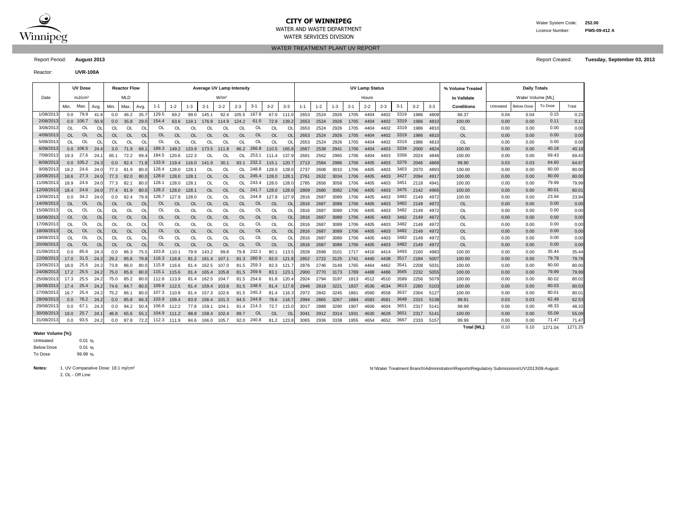

#### **CITY OF WINNIPEG** WATER MANUSCRIPED WATER System Code: 252.00 WATER AND WASTE DEPARTMENT Licence Number: **PWS-09-412 A** WATER SERVICES DIVISION

WATER TREATMENT PLANT UV REPORT

Reactor: **UVR-100A**

|           | <b>UV Dose</b><br><b>Average UV Lamp Intensity</b><br><b>Reactor Flow</b> |                    |           |           |            |           |           |           |           |               |                  |           |           |           |           | <b>UV Lamp Status</b> |         |         |         |         | % Volume Treated |         | <b>Daily Totals</b> |         |                    |           |                   |         |         |
|-----------|---------------------------------------------------------------------------|--------------------|-----------|-----------|------------|-----------|-----------|-----------|-----------|---------------|------------------|-----------|-----------|-----------|-----------|-----------------------|---------|---------|---------|---------|------------------|---------|---------------------|---------|--------------------|-----------|-------------------|---------|---------|
| Date      |                                                                           | mJ/cm <sup>2</sup> |           |           | <b>MLD</b> |           |           |           |           |               | W/m <sup>2</sup> |           |           |           |           |                       |         |         |         | Hours   |                  |         |                     |         | to Validate        |           | Water Volume [ML] |         |         |
|           | Min.                                                                      | Max.               | Avg.      | Min.      | Max.       | Avg.      | $1 - 1$   | $1 - 2$   | $1 - 3$   | $2 - 1$       | $2 - 2$          | $2 - 3$   | $3 - 1$   | $3 - 2$   | $3 - 3$   | $1 - 1$               | $1 - 2$ | $1 - 3$ | $2 - 1$ | $2 - 2$ | $2 - 3$          | $3 - 1$ | $3 - 2$             | $3 - 3$ | <b>Conditions</b>  | Untreated | <b>Below Dose</b> | To Dose | Total   |
| 1/08/201  | 0.0                                                                       | 79.9               | 41.6      | 0.0       | 46.2       | 35.7      | 129.5     | 69.2      | 99.0      | 145.1         | 92.4             | 105.5     | 167.8     | 67.0      | 111.0     | 2653                  | 2524    | 2926    | 1705    | 4404    | 4402             | 3319    | 1986                | 4809    | 66.37              | 0.04      | 0.04              | 0.15    | 0.23    |
| 2/08/201  |                                                                           | $0.0$ 106.7        | 50.9      | 0.0       | 35.8       | 29.0      | 154.4     | 63.6      | 118.1     | 176.8         | 114.9            | 124.2     | 61.0      | 72.9      | 139.2     | 2653                  | 2524    | 2926    | 1705    | 4404    | 4402             | 3319    | 1986                | 4810    | 100.00             | 0.00      | 0.00              | 0.11    | 0.11    |
| 3/08/201  | <b>OL</b>                                                                 | OL                 | OL        | <b>OL</b> | OL         | OL        | OL        | OL        | OL        | OL            | OL               | OL        | OL        | <b>OL</b> | O         | 2653                  | 2524    | 2926    | 1705    | 4404    | 4402             | 3319    | 1986                | 4810    | OL                 | 0.00      | 0.00              | 0.00    | 0.00    |
| 4/08/201  | <b>OL</b>                                                                 | <b>OL</b>          | <b>OL</b> | <b>OL</b> | <b>OL</b>  | <b>OL</b> | OL        | OL        | <b>OL</b> | $\Omega$      | OL               | <b>OL</b> | OL        | <b>OL</b> | <b>OL</b> | 2653                  | 2524    | 2926    | 1705    | 4404    | 4402             | 3319    | 1986                | 4810    | OL                 | 0.00      | 0.00              | 0.00    | 0.00    |
| 5/08/201  | $\Omega$                                                                  | OL                 | <b>Ol</b> | $\Omega$  | $\Omega$   | <b>OL</b> | OL        | ΩI        | OL        | $\Omega$      | ΩI               | $\Omega$  | OL        | $\Omega$  | $\Omega$  | 2653                  | 2524    | 2926    | 1705    | 4404    | 4402             | 3319    | 1986                | 4810    | OL                 | 0.00      | 0.00              | 0.00    | 0.00    |
| 6/08/201  |                                                                           | $0.0$ 106.5        | 24.4      | 3.0       | 71.9       | 69.       | 189.3     | 149.2     | 133.9     | 173.5         | 111.8            | 86.2      | 266.8     | 110.5     | 165.      | 2667                  | 2538    | 2941    | 1706    | 4404    | 4403             | 3334    | 2000                | 4824    | 100.00             | 0.00      | 0.00              | 40.18   | 40.18   |
| 7/08/201  | 19.3                                                                      | -27                | 24.       | 65.1      | 72.2       | 69.       | 184.5     | 120.6     | 122.3     | OL            | OL               | <b>OL</b> | 253.1     | 111.4     | 137.      | 2691                  | 2562    | 2965    | 1706    | 4404    | 4403             | 3358    | 2024                | 4848    | 100.00             | 0.00      | 0.00              | 69.43   | 69.43   |
| 8/08/201  |                                                                           | $0.0$ 105.2        | 24.3      | 0.0       | 82.4       | 71.8      | 133.9     | 119.4     | 116.0     | 141.9         | 30.1             | 93.1      | 232.2     | 115.1     | 120.      | 2713                  | 2584    | 2986    | 1706    | 4405    | 4403             | 3379    | 2046                | 4869    | 99.90              | 0.03      | 0.03              | 64.60   | 64.67   |
| 9/08/201  | 19.2                                                                      | 24.6               | 24.0      | 77.3      | 81.9       | 80.0      | 128.4     | 128.0     | 128.7     | OL            | OL               | OL        | 248.8     | 128.0     | 128.      | 2737                  | 2608    | 3010    | 1706    | 4405    | 4403             | 3403    | 2070                | 4893    | 100.00             | 0.00      | 0.00              | 80.00   | 80.00   |
| 10/08/201 | 18.6                                                                      | 27.3               | 24.0      | 77.3      | 82.0       | 80.0      | 128.0     | 128.0     | 128.7     | $\Omega$      | OL               | OL        | 245.4     | 128.0     | 128.      | 2761                  | 2632    | 3034    | 1706    | 4405    | 4403             | 3427    | 2094                | 4917    | 100.00             | 0.00      | 0.00              | 80.00   | 80.00   |
| 11/08/201 | 18.9                                                                      | 24.6               | 24.0      | 77.3      | 82.1       | 80.0      | 128.1     | 128.0     | 128.      | OL            | OL               | OL        | 243.4     | 128.0     | 128.      | 2785                  | 2656    | 3058    | 1706    | 4405    | 4403             | 3451    | 2118                | 4941    | 100.00             | 0.00      | 0.00              | 79.99   | 79.99   |
| 12/08/201 | 18.4                                                                      | 24.6               | 24.0      | 77.4      | 81.9       | - 80.0    | 128.2     | 128.0     | 128.7     | <b>OL</b>     | <b>OL</b>        | OL.       | 241.7     | 128.0     | 128.      | 2809                  | 2680    | 3082    | 1706    | 4405    | 4403             | 3475    | 2142                | 4965    | 100.00             | 0.00      | 0.00              | 80.01   | 80.01   |
| 13/08/201 | 0.0                                                                       | 34.2               | 24.0      | 0.0       | 82.4       | 79.9      | 128.7     | 127.9     | 128.0     | <sup>OL</sup> | OL               | OL        | 244.9     | 127.8     | 127.      | 2816                  | 2687    | 3089    | 1706    | 4405    | 4403             | 3482    | 2149                | 4972    | 100.00             | 0.00      | 0.00              | 23.94   | 23.94   |
| 14/08/201 | <b>OL</b>                                                                 | <b>OL</b>          | <b>OL</b> | <b>OL</b> | <b>OL</b>  | <b>OL</b> | <b>OL</b> | OL        | OL        | $\Omega$      | <b>OL</b>        | OL        | <b>OL</b> | <b>OL</b> | <b>OL</b> | 2816                  | 2687    | 3089    | 1706    | 4405    | 4403             | 3482    | 2149                | 4972    | <b>OL</b>          | 0.00      | 0.00              | 0.00    | 0.00    |
| 15/08/201 | <b>OL</b>                                                                 | OL                 | OL        | <b>OL</b> | <b>OL</b>  | OL        | OL        | OL        | OL        | OL            | OL               | <b>OL</b> | OL        | <b>OL</b> | O         | 2816                  | 2687    | 3089    | 1706    | 4405    | 4403             | 3482    | 2149                | 4972    | OL                 | 0.00      | 0.00              | 0.00    | 0.00    |
| 16/08/201 | OL                                                                        | <b>OL</b>          | <b>OL</b> | <b>OL</b> | <b>OL</b>  | <b>OL</b> | <b>OL</b> | <b>OL</b> | OL        | <b>OL</b>     | <b>OL</b>        | <b>OL</b> | <b>OL</b> | <b>OL</b> | OL        | 2816                  | 2687    | 3089    | 1706    | 4405    | 4403             | 3482    | 2149                | 4972    | <b>OL</b>          | 0.00      | 0.00              | 0.00    | 0.00    |
| 17/08/201 | <sup>OL</sup>                                                             | OL                 | OL        | $\Omega$  | OL         | <b>OL</b> | <b>OL</b> | OL.       | OL        | $\Omega$      | OL               | <b>OL</b> | <b>OL</b> | <b>OL</b> | ΩI        | 2816                  | 2687    | 3089    | 1706    | 4405    | 4403             | 3482    | 2149                | 4972    | OL                 | 0.00      | 0.00              | 0.00    | 0.00    |
| 18/08/201 | <b>OL</b>                                                                 | <b>OL</b>          | <b>OL</b> | <b>OL</b> | <b>OL</b>  | <b>OL</b> | <b>OL</b> | <b>OL</b> | OL        | <b>OL</b>     | <b>OL</b>        | <b>OL</b> | <b>OL</b> | <b>OL</b> | <b>OL</b> | 2816                  | 2687    | 3089    | 1706    | 4405    | 4403             | 3482    | 2149                | 4972    | <b>OL</b>          | 0.00      | 0.00              | 0.00    | 0.00    |
| 19/08/201 | $\Omega$                                                                  | OL                 | OL        | $\Omega$  | <b>OL</b>  | <b>OL</b> | OL        | <b>OL</b> | OL        | $\Omega$      | OL               | $\Omega$  | OL        | <b>OL</b> | $\Omega$  | 2816                  | 2687    | 3089    | 1706    | 4405    | 4403             | 3482    | 2149                | 4972    | <b>OL</b>          | 0.00      | 0.00              | 0.00    | 0.00    |
| 20/08/201 | <b>OL</b>                                                                 | <b>OL</b>          | <b>OL</b> | <b>OL</b> | <b>OL</b>  | <b>OL</b> | OL        | OL        | OL        | <b>OL</b>     | <b>OL</b>        | <b>OL</b> | <b>OL</b> | <b>OL</b> | $\Omega$  | 2816                  | 2687    | 3089    | 1706    | 4405    | 4403             | 3482    | 2149                | 4972    | <b>OL</b>          | 0.00      | 0.00              | 0.00    | 0.00    |
| 21/08/201 | 0.0                                                                       | 85.6               | 24.3      | 0.0       | 86.3       | 75.5      | 103.8     | 110.1     | 79.9      | 143.2         | 99.8             | 79.8      | 232.1     | 80.1      | 113.      | 2828                  | 2698    | 3101    | 1717    | 4416    | 4414             | 3493    | 2160                | 4983    | 100.00             | 0.00      | 0.00              | 35.44   | 35.44   |
| 22/08/201 |                                                                           | 17.0 31.5          | 24.2      |           | 29.2 85.6  | 79.8      | 116.3     | 116.8     | 81.2      | 161.4         | 107.1            | 81.3      | 260.9     | 82.0      | 121       | 2852                  | 2722    | 3125    | 1741    | 4440    | 4438             | 3517    | 2184                | 5007    | 100.00             | 0.00      | 0.00              | 79.78   | 79.78   |
| 23/08/201 | 18.0                                                                      | 25.6               | 24.2      | 73.8      | 86.0       | 80.0      | 115.8     | 116.6     | 81.4      | 162.5         | 107.0            | 81.5      | 259.3     | 82.3      | 121       | 2876                  | 2746    | 3149    | 1765    | 4464    | 4462             | 3541    | 2208                | 5031    | 100.00             | 0.00      | 0.00              | 80.00   | 80.00   |
| 24/08/201 |                                                                           | 17.2 25.5          | 24.2      | 75.0      | 85.8       | - 80.0    | 115.1     | 115.6     | 81.4      | 165.4         | 105.8            | 81.5      | 259.6     | 83.1      | 123.      | 2900                  | 2770    | 3173    | 1789    | 4488    | 4486             | 3565    | 2232                | 5055    | 100.00             | 0.00      | 0.00              | 79.99   | 79.99   |
| 25/08/201 | 17.3                                                                      | 25.5               | 24.2      | 75.0      | 85.2       | 80.0      | 112.8     | 113.9     | 81.4      | 162.5         | 104.7            | 81.5      | 254.6     | 81.8      | 120.      | 2924                  | 2794    | 3197    | 1813    | 4512    | 4510             | 3589    | 2256                | 5079    | 100.00             | 0.00      | 0.00              | 80.02   | 80.02   |
| 26/08/201 | 17.4                                                                      | 25.4               | 24.2      | 74.6      | 84.7       | 80.0      | 109.8     | 112.5     | 81.4      | 159.4         | 103.8            | 81.5      | 248.5     | 81.4      | 117.8     | 2948                  | 2818    | 3221    | 1837    | 4536    | 4534             | 3613    | 2280                | 5103    | 100.00             | 0.00      | 0.00              | 80.03   | 80.03   |
| 27/08/201 | 16.7                                                                      | 25.4               | 24.2      | 75.2      | 86.1       | 80.0      | 107.3     | 110.8     | 81.4      | 157.3         | 102.6            | 81.5      | 245.3     | 81.4      | 116.      | 2972                  | 2842    | 3245    | 1861    | 4560    | 4558             | 3637    | 2304                | 5127    | 100.00             | 0.00      | 0.00              | 80.01   | 80.01   |
| 28/08/201 | 0.0                                                                       | 76.2               | 24.2      | 0.0       | 85.8       | 66.3      | 103.9     | 109.4     | 83.9      | 156.4         | 101.3            | 84.5      | 244.9     | 78.6      | 116.      | 2994                  | 2865    | 3267    | 1884    | 4583    | 4581             | 3648    | 2315                | 5138    | 99.91              | 0.03      | 0.03              | 62.48   | 62.53   |
| 29/08/201 | 0.0                                                                       | 67.1               | 24.3      | 0.0       | 94.2       | 50.4      | 106.8     | 112.2     | 77.8      | 159.7         | 104.1            | 81.4      | 214.3     | 72.7      | 115.      | 3017                  | 2888    | 3290    | 1907    | 4606    | 4604             | 3651    | 2317                | 5141    | 99.99              | 0.00      | 0.00              | 48.33   | 48.33   |
| 30/08/201 | 19.0                                                                      | 25.7               | 24.       | 46.8      | 65.6       | 55.       | 104.9     | 111.2     | 88.8      | 158.4         | 102.4            | 89.7      | <b>OL</b> | <b>OL</b> | <b>OL</b> | 3041                  | 2912    | 3314    | 1931    | 4630    | 4628             | 3651    | 2317                | 5141    | 100.00             | 0.00      | 0.00              | 55.09   | 55.09   |
| 31/08/201 | 0.0                                                                       | 93.5               | 24.3      | 0.0       | 87.8       | 72.2      | 112.3     | 111.9     | 84.6      | 166.0         | 105.7            | 92.0      | 240.8     | 81.2      | 123.      | 3065                  | 2936    | 3338    | 1955    | 4654    | 4652             | 3667    | 2333                | 5157    | 99.99              | 0.00      | 0.00              | 71.47   | 71.47   |
|           |                                                                           |                    |           |           |            |           |           |           |           |               |                  |           |           |           |           |                       |         |         |         |         |                  |         |                     |         | <b>Total [ML]:</b> | 0.10      | 0.10              | 1271.04 | 1271.25 |

#### **Water Volume [%]:**

 $0.01%$ 0.01 % 99.98 % To Dose Below Dose Untreated:

2. OL - Off Line

Notes: 1. UV Comparative Dose: 18.1 mj/cm<sup>2</sup> Nicolar August 2008-August 2009 N:\Water Treatment Branch\Administration\Reports\Regulatory Submissions\UV\2013\08-August

Report Period: **August 2013** Report Created: **Tuesday, September 03, 2013**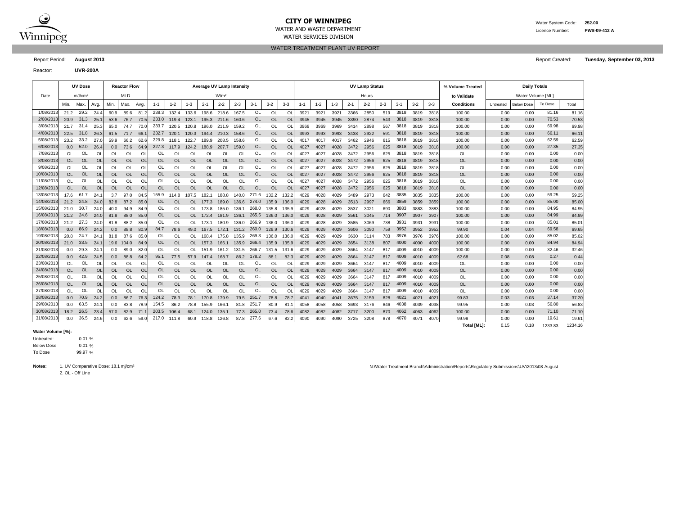

#### **CITY OF WINNIPEG** Water System Code: 252.00 WATER AND WASTE DEPARTMENT Licence Number: **PWS-09-412 A** WATER SERVICES DIVISION

WATER TREATMENT PLANT UV REPORT

Reactor: **UVR-200A**

| <b>UV Dose</b><br>Average UV Lamp Intensity<br><b>UV Lamp Status</b><br><b>Daily Totals</b><br><b>Reactor Flow</b><br>% Volume Treated<br>MLD<br>Date<br>mJ/cm <sup>2</sup><br>W/m <sup>2</sup><br>Hours<br>Water Volume [ML]<br>to Validate<br>$3-1$<br>$3-2$<br>$3 - 3$<br>$1 - 2$<br>$2 - 3$<br>$3-1$<br>To Dose<br>$1 - 1$<br>$1 - 2$<br>$1 - 3$<br>$2 - 1$<br>$2 - 2$<br>$2 - 3$<br>$1 - 3$<br>$2 - 1$<br>$2 - 2$<br>$3 - 2$<br>$3 - 3$<br><b>Conditions</b><br>Min.<br>Max.<br>Min.<br>Max.<br>$1 - 1$<br><b>Below Dose</b><br>Total<br>Avg.<br>Avg.<br>Untreated<br>29.2<br>OL<br>3818<br>1/08/2013<br>238.3<br>198.6<br><b>OL</b><br>3366<br>2850<br>81.16<br>21.2<br>24.4<br>89.6<br>81.2<br>132.4<br>133.6<br>218.6<br>167.5<br>O<br>3921<br>3921<br>3921<br>519<br>3819<br>3818<br>0.00<br>60.9<br>100.00<br>0.00<br>2/08/2013<br>31.3<br><b>OL</b><br>70.53<br>3818<br>25.<br>76.7<br>233.0<br>3390<br>2874<br>543<br>3819<br>100.00<br>20.9<br>53.6<br>70.5<br>119.4<br>123.1<br>195.3<br>211.6<br>160.6<br><b>OL</b><br>$\overline{O}$<br>3945<br>3945<br>3945<br>3818<br>0.00<br>0.00<br>3/08/2013<br>31.4<br>OL<br>3818<br>69.98<br>21.7<br>25.3<br>70.0<br>233.7<br>211.9<br>159.2<br>OL<br>O<br>2898<br>567<br>3819<br>100.00<br>0.00<br>0.00<br>65.0<br>74.7<br>120.8<br>196.0<br>3969<br>3969<br>3969<br>3414<br>3818<br>120.5<br>4/08/2013<br><b>OL</b><br>$\overline{O}$<br>3818<br>66.11<br>22.5<br>31.8<br>26.3<br>71.7<br>66.<br>232.7<br>158.6<br><b>OL</b><br>3993<br>3438<br>2922<br>591<br>3819<br>100.00<br>0.00<br>61.5<br>120.1<br>120.3<br>194.4<br>210.3<br>3993<br>3993<br>3818<br>0.00<br>5/08/2013<br>OL<br>62.59<br>23.2<br>33.2<br>27.1<br>62.6<br>229.8<br><b>OL</b><br>O<br>3462<br>2946<br>3818<br>100.00<br>0.00<br>0.00<br>59.9<br>66.2<br>118.1<br>122.7<br>189.9<br>208.5<br>158.6<br>4017<br>615<br>3819<br>3818<br>4017<br>4017<br>6/08/2013<br>52.0<br><b>OL</b><br>$\overline{O}$<br>3818<br>27.35<br>26.4<br>64.9<br>227.3<br>159.0<br><b>OL</b><br>4027<br>4027<br>4028<br>3472<br>2956<br>625<br>3819<br>100.00<br>0.00<br>0.00<br>0.0<br>0.0<br>73.6<br>117.9<br>124.2<br>188.9<br>207.7<br>3818<br>7/08/2013<br>OL<br>OL<br>OL<br>3818<br>0.00<br>OL<br>OL<br>OL<br>OL<br><b>OL</b><br>OL<br><b>OL</b><br>O<br>625<br>3819<br>OL<br>OL<br>OL<br>OL<br>OL<br>4027<br>4027<br>4028<br>3472<br>2956<br>3818<br>0.00<br>0.00<br>8/08/2013<br><b>OL</b><br><b>OL</b><br><b>OL</b><br>3818<br><b>OL</b><br>0.00<br><b>OL</b><br>OL<br><b>OL</b><br><b>OL</b><br><b>OL</b><br><b>OL</b><br><b>OL</b><br><b>OL</b><br>$\overline{O}$<br>4027<br>4028<br>3472<br>2956<br>625<br>3819<br>0.00<br>0.00<br><b>OL</b><br><b>OL</b><br><b>OL</b><br>4027<br>3818<br>9/08/2013<br>OL<br>OL<br>OL<br>3818<br>0.00<br>OL<br>OL<br>OL<br>OL<br>OL<br>OL<br>OL<br><b>OL</b><br>OL<br><b>OL</b><br>O<br>0.00<br>OL<br>OL<br>4027<br>4027<br>4028<br>2956<br>625<br>3819<br>3818<br>0.00<br>3472<br>0.00<br>10/08/201:<br><b>OL</b><br><b>OL</b><br><b>OL</b><br>3818<br><b>OL</b><br><b>OL</b><br><b>OL</b><br><b>OL</b><br>OL<br><b>OL</b><br><b>OL</b><br><b>OL</b><br>OL<br><b>OL</b><br><b>OL</b><br><b>OL</b><br>O <sub>l</sub><br>4027<br>625<br>3819<br>0.00<br>0.00<br>4027<br>4028<br>3472<br>2956<br>3818<br><b>OL</b><br>OL<br>0.00<br>11/08/201:<br>OL<br>3818<br>OL<br><b>OL</b><br>OL<br>OL<br>OL<br>OL<br>OL<br>OL<br><b>OL</b><br>OL<br><b>OL</b><br>O<br>3472<br>2956<br>625<br>3819<br>3818<br><b>OL</b><br>0.00<br>0.00<br>4027<br>4027<br>4028<br>12/08/2013<br><b>OL</b><br><b>OL</b><br><b>OL</b><br>0.00<br>OL<br><b>OL</b><br><b>OL</b><br>OL<br><b>OL</b><br><b>OL</b><br><b>OL</b><br>$\overline{O}$<br>3818<br><b>OL</b><br><b>OL</b><br><sup>OL</sup><br><b>OL</b><br><b>OL</b><br>4027<br>4028<br>3472<br>2956<br>625<br>3819<br>0.00<br>0.00<br>4027<br>3818<br>13/08/2013<br>271.6<br>3835<br>59.25<br>17.6<br>61.7<br>24.7<br>155.9<br>2973<br>0.00<br>97.0<br>84.5<br>114.8<br>182.1<br>188.8<br>140.0<br>132.2<br>132.<br>4029<br>4028<br>4029<br>3489<br>642<br>3835<br>3835<br>100.00<br>0.00<br>3.7<br>107.5<br>14/08/2013<br>24.8<br><b>OL</b><br>2997<br>3859<br>100.00<br>0.00<br>85.00<br>21.2<br>24.0<br>82.8<br>87.2<br>85.0<br>OL<br>136.6<br>274.0<br>135.9<br>136.<br>4029<br>4028<br>4029<br>3513<br>666<br>3859<br>3859<br>0.00<br>OL.<br>177.3<br>189.0<br>15/08/201<br>30.7<br>84.95<br>24.0<br>OL<br>268.0<br>302'<br>690<br>3883<br>3883<br>3883<br>100.00<br>0.00<br>0.00<br>21.0<br>40.0<br>94.9<br>OL<br>185.0<br>136.1<br>135.9<br>4029<br>4028<br>4029<br>3537<br>84.9<br>OL<br>135.8<br>173.8<br>84.99<br>16/08/201<br>24.6<br><b>OL</b><br>265.5<br>3561<br>3907<br>3907<br>0.00<br>21.2<br>24.0<br>81.8<br>88.0<br>85.0<br>OL<br>136.1<br>136.0<br>136.<br>4029<br>4028<br>4029<br>3045<br>714<br>3907<br>100.00<br>0.00<br>OL.<br>172.4<br>181.9<br>17/08/201<br>85.01<br>27.3<br>OL<br>3585<br>3069<br>3931<br>3931<br>393'<br>100.00<br>0.00<br>0.00<br>21.2<br>24.0<br>88.2<br>85.0<br>OL<br>180.9<br>136.0<br>266.9<br>136.0<br>136.<br>4029<br>4028<br>4029<br>738<br>81.8<br>OL<br>173.1<br>18/08/2013<br>3952<br>69.58<br>86.9<br>84.7<br>260.0<br>3090<br>759<br>3952<br>0.04<br>0.0<br>24.2<br>88.8<br>80.9<br>78.6<br>49.0<br>167.5<br>172.1<br>131.2<br>129.9<br>130.<br>4029<br>4029<br>3606<br>3952<br>99.90<br>0.04<br>0.0<br>4029<br>19/08/201:<br>3976<br>85.02<br>24.7<br>OL<br>269.3<br>3976<br>0.00<br>20.8<br>24.<br>81.8<br>87.6<br>85.0<br>OL<br>168.4<br>175.8<br>135.9<br>136.0<br>136.<br>4029<br>4029<br>4029<br>3630<br>3114<br>783<br>3976<br>100.00<br>0.00<br>OL<br>84.94<br>20/08/2013<br>33.5<br><b>OL</b><br>24.7<br>266.4<br>3654<br>807<br>4000<br>4000<br>100.00<br>0.00<br>OL<br>135.9<br>135.9<br>135.9<br>4029<br>4029<br>4029<br>3138<br>4000<br>0.00<br>21.0<br>19.6<br>104.0<br>84.9<br>OL.<br>157.3<br>166.1<br>21/08/2013<br>29.3<br>4009<br>32.46<br>OL<br>266.7<br>0.00<br>24.7<br>89.0<br>82.0<br>OL<br>131.6<br>4029<br>4029<br>3664<br>3147<br>4010<br>4009<br>100.00<br>0.00<br>0.0<br>0.0<br>OL<br>161.2<br>131.5<br>131.5<br>4029<br>817<br>151.9<br>0.27<br>22/08/2013<br>42.9<br>3664<br>4009<br>62.68<br>0.08<br>0.08<br>24.5<br>0.0<br>88.8<br>64.2<br>95.1<br>77.5<br>57.9<br>86.2<br>178.2<br>88.1<br>82.3<br>4029<br>4029<br>4029<br>3147<br>817<br>4010<br>4009<br>0.0<br>147.4<br>168.7<br>23/08/2013<br>OL<br>0.00<br>OL<br>OL<br>OL<br>O<br>OL<br><b>OL</b><br>O<br>3664<br>4009<br>4009<br>OL<br>0.00<br>0.00<br>OL<br>OL<br>OL<br>OL<br>OL.<br>OL<br>OL<br>4029<br>4029<br>4029<br>3147<br>817<br>4010<br><b>OL</b><br>24/08/2013<br><b>OL</b><br><b>OL</b><br><b>OL</b><br><b>OL</b><br>O <sub>l</sub><br>4009<br><b>OL</b><br>0.00<br><sup>OL</sup><br><b>OL</b><br><b>OL</b><br><b>OL</b><br>OL<br><b>OL</b><br><b>OL</b><br><b>OL</b><br>4029<br>3664<br>817<br>4009<br>0.00<br>0.00<br><b>OL</b><br>4029<br>4029<br>3147<br>4010<br>OL<br>25/08/201<br>OL<br>OL<br>4009<br>0.00<br>OL<br>OL<br>OL<br>OL<br>OL<br>OL<br><b>OL</b><br>OL<br><b>OL</b><br>O<br>4029<br>4029<br>3664<br>3147<br>4009<br>OL<br>0.00<br>0.00<br>OL<br><b>OL</b><br>4029<br>817<br>4010<br><b>OL</b><br><b>OL</b><br><b>OL</b><br><b>OL</b><br><b>OL</b><br>OL<br><b>OL</b><br><b>OL</b><br>O <sub>l</sub><br>3664<br>817<br>4009<br><b>OL</b><br>0.00<br>26/08/201<br><b>OL</b><br><b>OL</b><br><b>OL</b><br><b>OL</b><br><b>OL</b><br>4029<br>4029<br>4029<br>4010<br>4009<br>0.00<br>0.00<br><b>OL</b><br>3147<br>27/08/201<br><b>OL</b><br>OL<br>0.00<br>OL<br>4009<br>OL<br>OL<br>O<br>OL<br>OL<br><b>OL</b><br>OL<br>OL<br>OL<br>0L<br>$\Omega$<br>$\Omega$<br>O<br>3664<br>3147<br>817<br>4009<br>0.00<br>0.00<br>4029<br>4029<br>4029<br>4010<br>37.14<br>28/08/201:<br>70.9<br>76.3<br>124.2<br>251.7<br>828<br>4021<br>99.83<br>24.2<br>86.7<br>78.3<br>78.1<br>170.8<br>179.9<br>79.5<br>78.8<br>78.7<br>4040<br>3675<br>3159<br>4021<br>4021<br>0.03<br>0.03<br>0.0<br>0.0<br>4041<br>4041<br>56.80<br>29/08/201<br>63.5<br>154.5<br>4038<br>24.<br>78.9<br>251.7<br>80.9<br>83.8<br>86.2<br>166.1<br>81.<br>4058<br>4058<br>4058<br>3693<br>846<br>4039<br>4038<br>99.95<br>0.00<br>0.03<br>0.0<br>0.0<br>78.8<br>155.9<br>81.8<br>3176<br>4062<br>30/08/2013<br>26.5<br>203.5<br>265.0<br>71.10<br>18.2<br>23.4<br>71.<br>135.1<br>77.3<br>73.4<br>78.6<br>4082<br>3717<br>3200<br>870<br>4063<br>4062<br>100.00<br>0.00<br>0.00<br>57.0<br>82.9<br>106.4<br>68.1<br>124.0<br>4082<br>4082<br>31/08/2013<br>36.5<br>19.61<br>217.0 111.8<br>67.6<br>82.2<br>4070<br>4070<br>0.00<br>0.0<br>24.6<br>0.0<br>62.6<br>59.0<br>60.9<br>118.8<br>126.8<br>87.8<br>277.6<br>4090<br>4090<br>4090<br>3725<br>3208<br>878<br>4071<br>99.98<br>0.00 |  |  |  |  |  |  |  |  |  |  |  |  |  |  |  |  |  |  |  |  |  |       |
|--------------------------------------------------------------------------------------------------------------------------------------------------------------------------------------------------------------------------------------------------------------------------------------------------------------------------------------------------------------------------------------------------------------------------------------------------------------------------------------------------------------------------------------------------------------------------------------------------------------------------------------------------------------------------------------------------------------------------------------------------------------------------------------------------------------------------------------------------------------------------------------------------------------------------------------------------------------------------------------------------------------------------------------------------------------------------------------------------------------------------------------------------------------------------------------------------------------------------------------------------------------------------------------------------------------------------------------------------------------------------------------------------------------------------------------------------------------------------------------------------------------------------------------------------------------------------------------------------------------------------------------------------------------------------------------------------------------------------------------------------------------------------------------------------------------------------------------------------------------------------------------------------------------------------------------------------------------------------------------------------------------------------------------------------------------------------------------------------------------------------------------------------------------------------------------------------------------------------------------------------------------------------------------------------------------------------------------------------------------------------------------------------------------------------------------------------------------------------------------------------------------------------------------------------------------------------------------------------------------------------------------------------------------------------------------------------------------------------------------------------------------------------------------------------------------------------------------------------------------------------------------------------------------------------------------------------------------------------------------------------------------------------------------------------------------------------------------------------------------------------------------------------------------------------------------------------------------------------------------------------------------------------------------------------------------------------------------------------------------------------------------------------------------------------------------------------------------------------------------------------------------------------------------------------------------------------------------------------------------------------------------------------------------------------------------------------------------------------------------------------------------------------------------------------------------------------------------------------------------------------------------------------------------------------------------------------------------------------------------------------------------------------------------------------------------------------------------------------------------------------------------------------------------------------------------------------------------------------------------------------------------------------------------------------------------------------------------------------------------------------------------------------------------------------------------------------------------------------------------------------------------------------------------------------------------------------------------------------------------------------------------------------------------------------------------------------------------------------------------------------------------------------------------------------------------------------------------------------------------------------------------------------------------------------------------------------------------------------------------------------------------------------------------------------------------------------------------------------------------------------------------------------------------------------------------------------------------------------------------------------------------------------------------------------------------------------------------------------------------------------------------------------------------------------------------------------------------------------------------------------------------------------------------------------------------------------------------------------------------------------------------------------------------------------------------------------------------------------------------------------------------------------------------------------------------------------------------------------------------------------------------------------------------------------------------------------------------------------------------------------------------------------------------------------------------------------------------------------------------------------------------------------------------------------------------------------------------------------------------------------------------------------------------------------------------------------------------------------------------------------------------------------------------------------------------------------------------------------------------------------------------------------------------------------------------------------------------------------------------------------------------------------------------------------------------------------------------------------------------------------------------------------------------------------------------------------------------------------------------------------------------------------------------------------------------------------------------------------------------------------------------------------------------------------------------------------------------------------------------------------------------------------------------------------------------------------------------------------------------------------------------------------------------------------------------------------------------------------------------------------------------------------------------------------------------------------------------------------------------------------------------------------------------------------------------------------------------------------------------------------------------------------------------------------------------------------------------------------------------------------------------------------------------------------------------------------------------------------------------------------------------------------------------------------------------------------------------------------------------------------------------------------------------------------------------------------------------------------------------------------------------------------------------------------------------------------------------------------------------------------------------------------------------------------------------------------------------------------------------------------------------------------------------------------------------------------------------------------------------------------------------------------------------------------------------------------------------------------------------------------------------------------------------------------------------------------------|--|--|--|--|--|--|--|--|--|--|--|--|--|--|--|--|--|--|--|--|--|-------|
|                                                                                                                                                                                                                                                                                                                                                                                                                                                                                                                                                                                                                                                                                                                                                                                                                                                                                                                                                                                                                                                                                                                                                                                                                                                                                                                                                                                                                                                                                                                                                                                                                                                                                                                                                                                                                                                                                                                                                                                                                                                                                                                                                                                                                                                                                                                                                                                                                                                                                                                                                                                                                                                                                                                                                                                                                                                                                                                                                                                                                                                                                                                                                                                                                                                                                                                                                                                                                                                                                                                                                                                                                                                                                                                                                                                                                                                                                                                                                                                                                                                                                                                                                                                                                                                                                                                                                                                                                                                                                                                                                                                                                                                                                                                                                                                                                                                                                                                                                                                                                                                                                                                                                                                                                                                                                                                                                                                                                                                                                                                                                                                                                                                                                                                                                                                                                                                                                                                                                                                                                                                                                                                                                                                                                                                                                                                                                                                                                                                                                                                                                                                                                                                                                                                                                                                                                                                                                                                                                                                                                                                                                                                                                                                                                                                                                                                                                                                                                                                                                                                                                                                                                                                                                                                                                                                                                                                                                                                                                                                                                                                                                                                                                                                                                                                                                                                                                                                                                                                                                                                                                                                                                                                                                                        |  |  |  |  |  |  |  |  |  |  |  |  |  |  |  |  |  |  |  |  |  |       |
|                                                                                                                                                                                                                                                                                                                                                                                                                                                                                                                                                                                                                                                                                                                                                                                                                                                                                                                                                                                                                                                                                                                                                                                                                                                                                                                                                                                                                                                                                                                                                                                                                                                                                                                                                                                                                                                                                                                                                                                                                                                                                                                                                                                                                                                                                                                                                                                                                                                                                                                                                                                                                                                                                                                                                                                                                                                                                                                                                                                                                                                                                                                                                                                                                                                                                                                                                                                                                                                                                                                                                                                                                                                                                                                                                                                                                                                                                                                                                                                                                                                                                                                                                                                                                                                                                                                                                                                                                                                                                                                                                                                                                                                                                                                                                                                                                                                                                                                                                                                                                                                                                                                                                                                                                                                                                                                                                                                                                                                                                                                                                                                                                                                                                                                                                                                                                                                                                                                                                                                                                                                                                                                                                                                                                                                                                                                                                                                                                                                                                                                                                                                                                                                                                                                                                                                                                                                                                                                                                                                                                                                                                                                                                                                                                                                                                                                                                                                                                                                                                                                                                                                                                                                                                                                                                                                                                                                                                                                                                                                                                                                                                                                                                                                                                                                                                                                                                                                                                                                                                                                                                                                                                                                                                                        |  |  |  |  |  |  |  |  |  |  |  |  |  |  |  |  |  |  |  |  |  |       |
|                                                                                                                                                                                                                                                                                                                                                                                                                                                                                                                                                                                                                                                                                                                                                                                                                                                                                                                                                                                                                                                                                                                                                                                                                                                                                                                                                                                                                                                                                                                                                                                                                                                                                                                                                                                                                                                                                                                                                                                                                                                                                                                                                                                                                                                                                                                                                                                                                                                                                                                                                                                                                                                                                                                                                                                                                                                                                                                                                                                                                                                                                                                                                                                                                                                                                                                                                                                                                                                                                                                                                                                                                                                                                                                                                                                                                                                                                                                                                                                                                                                                                                                                                                                                                                                                                                                                                                                                                                                                                                                                                                                                                                                                                                                                                                                                                                                                                                                                                                                                                                                                                                                                                                                                                                                                                                                                                                                                                                                                                                                                                                                                                                                                                                                                                                                                                                                                                                                                                                                                                                                                                                                                                                                                                                                                                                                                                                                                                                                                                                                                                                                                                                                                                                                                                                                                                                                                                                                                                                                                                                                                                                                                                                                                                                                                                                                                                                                                                                                                                                                                                                                                                                                                                                                                                                                                                                                                                                                                                                                                                                                                                                                                                                                                                                                                                                                                                                                                                                                                                                                                                                                                                                                                                                        |  |  |  |  |  |  |  |  |  |  |  |  |  |  |  |  |  |  |  |  |  |       |
|                                                                                                                                                                                                                                                                                                                                                                                                                                                                                                                                                                                                                                                                                                                                                                                                                                                                                                                                                                                                                                                                                                                                                                                                                                                                                                                                                                                                                                                                                                                                                                                                                                                                                                                                                                                                                                                                                                                                                                                                                                                                                                                                                                                                                                                                                                                                                                                                                                                                                                                                                                                                                                                                                                                                                                                                                                                                                                                                                                                                                                                                                                                                                                                                                                                                                                                                                                                                                                                                                                                                                                                                                                                                                                                                                                                                                                                                                                                                                                                                                                                                                                                                                                                                                                                                                                                                                                                                                                                                                                                                                                                                                                                                                                                                                                                                                                                                                                                                                                                                                                                                                                                                                                                                                                                                                                                                                                                                                                                                                                                                                                                                                                                                                                                                                                                                                                                                                                                                                                                                                                                                                                                                                                                                                                                                                                                                                                                                                                                                                                                                                                                                                                                                                                                                                                                                                                                                                                                                                                                                                                                                                                                                                                                                                                                                                                                                                                                                                                                                                                                                                                                                                                                                                                                                                                                                                                                                                                                                                                                                                                                                                                                                                                                                                                                                                                                                                                                                                                                                                                                                                                                                                                                                                                        |  |  |  |  |  |  |  |  |  |  |  |  |  |  |  |  |  |  |  |  |  | 81.16 |
|                                                                                                                                                                                                                                                                                                                                                                                                                                                                                                                                                                                                                                                                                                                                                                                                                                                                                                                                                                                                                                                                                                                                                                                                                                                                                                                                                                                                                                                                                                                                                                                                                                                                                                                                                                                                                                                                                                                                                                                                                                                                                                                                                                                                                                                                                                                                                                                                                                                                                                                                                                                                                                                                                                                                                                                                                                                                                                                                                                                                                                                                                                                                                                                                                                                                                                                                                                                                                                                                                                                                                                                                                                                                                                                                                                                                                                                                                                                                                                                                                                                                                                                                                                                                                                                                                                                                                                                                                                                                                                                                                                                                                                                                                                                                                                                                                                                                                                                                                                                                                                                                                                                                                                                                                                                                                                                                                                                                                                                                                                                                                                                                                                                                                                                                                                                                                                                                                                                                                                                                                                                                                                                                                                                                                                                                                                                                                                                                                                                                                                                                                                                                                                                                                                                                                                                                                                                                                                                                                                                                                                                                                                                                                                                                                                                                                                                                                                                                                                                                                                                                                                                                                                                                                                                                                                                                                                                                                                                                                                                                                                                                                                                                                                                                                                                                                                                                                                                                                                                                                                                                                                                                                                                                                                        |  |  |  |  |  |  |  |  |  |  |  |  |  |  |  |  |  |  |  |  |  | 70.53 |
|                                                                                                                                                                                                                                                                                                                                                                                                                                                                                                                                                                                                                                                                                                                                                                                                                                                                                                                                                                                                                                                                                                                                                                                                                                                                                                                                                                                                                                                                                                                                                                                                                                                                                                                                                                                                                                                                                                                                                                                                                                                                                                                                                                                                                                                                                                                                                                                                                                                                                                                                                                                                                                                                                                                                                                                                                                                                                                                                                                                                                                                                                                                                                                                                                                                                                                                                                                                                                                                                                                                                                                                                                                                                                                                                                                                                                                                                                                                                                                                                                                                                                                                                                                                                                                                                                                                                                                                                                                                                                                                                                                                                                                                                                                                                                                                                                                                                                                                                                                                                                                                                                                                                                                                                                                                                                                                                                                                                                                                                                                                                                                                                                                                                                                                                                                                                                                                                                                                                                                                                                                                                                                                                                                                                                                                                                                                                                                                                                                                                                                                                                                                                                                                                                                                                                                                                                                                                                                                                                                                                                                                                                                                                                                                                                                                                                                                                                                                                                                                                                                                                                                                                                                                                                                                                                                                                                                                                                                                                                                                                                                                                                                                                                                                                                                                                                                                                                                                                                                                                                                                                                                                                                                                                                                        |  |  |  |  |  |  |  |  |  |  |  |  |  |  |  |  |  |  |  |  |  | 69.98 |
|                                                                                                                                                                                                                                                                                                                                                                                                                                                                                                                                                                                                                                                                                                                                                                                                                                                                                                                                                                                                                                                                                                                                                                                                                                                                                                                                                                                                                                                                                                                                                                                                                                                                                                                                                                                                                                                                                                                                                                                                                                                                                                                                                                                                                                                                                                                                                                                                                                                                                                                                                                                                                                                                                                                                                                                                                                                                                                                                                                                                                                                                                                                                                                                                                                                                                                                                                                                                                                                                                                                                                                                                                                                                                                                                                                                                                                                                                                                                                                                                                                                                                                                                                                                                                                                                                                                                                                                                                                                                                                                                                                                                                                                                                                                                                                                                                                                                                                                                                                                                                                                                                                                                                                                                                                                                                                                                                                                                                                                                                                                                                                                                                                                                                                                                                                                                                                                                                                                                                                                                                                                                                                                                                                                                                                                                                                                                                                                                                                                                                                                                                                                                                                                                                                                                                                                                                                                                                                                                                                                                                                                                                                                                                                                                                                                                                                                                                                                                                                                                                                                                                                                                                                                                                                                                                                                                                                                                                                                                                                                                                                                                                                                                                                                                                                                                                                                                                                                                                                                                                                                                                                                                                                                                                                        |  |  |  |  |  |  |  |  |  |  |  |  |  |  |  |  |  |  |  |  |  | 66.11 |
|                                                                                                                                                                                                                                                                                                                                                                                                                                                                                                                                                                                                                                                                                                                                                                                                                                                                                                                                                                                                                                                                                                                                                                                                                                                                                                                                                                                                                                                                                                                                                                                                                                                                                                                                                                                                                                                                                                                                                                                                                                                                                                                                                                                                                                                                                                                                                                                                                                                                                                                                                                                                                                                                                                                                                                                                                                                                                                                                                                                                                                                                                                                                                                                                                                                                                                                                                                                                                                                                                                                                                                                                                                                                                                                                                                                                                                                                                                                                                                                                                                                                                                                                                                                                                                                                                                                                                                                                                                                                                                                                                                                                                                                                                                                                                                                                                                                                                                                                                                                                                                                                                                                                                                                                                                                                                                                                                                                                                                                                                                                                                                                                                                                                                                                                                                                                                                                                                                                                                                                                                                                                                                                                                                                                                                                                                                                                                                                                                                                                                                                                                                                                                                                                                                                                                                                                                                                                                                                                                                                                                                                                                                                                                                                                                                                                                                                                                                                                                                                                                                                                                                                                                                                                                                                                                                                                                                                                                                                                                                                                                                                                                                                                                                                                                                                                                                                                                                                                                                                                                                                                                                                                                                                                                                        |  |  |  |  |  |  |  |  |  |  |  |  |  |  |  |  |  |  |  |  |  | 62.59 |
|                                                                                                                                                                                                                                                                                                                                                                                                                                                                                                                                                                                                                                                                                                                                                                                                                                                                                                                                                                                                                                                                                                                                                                                                                                                                                                                                                                                                                                                                                                                                                                                                                                                                                                                                                                                                                                                                                                                                                                                                                                                                                                                                                                                                                                                                                                                                                                                                                                                                                                                                                                                                                                                                                                                                                                                                                                                                                                                                                                                                                                                                                                                                                                                                                                                                                                                                                                                                                                                                                                                                                                                                                                                                                                                                                                                                                                                                                                                                                                                                                                                                                                                                                                                                                                                                                                                                                                                                                                                                                                                                                                                                                                                                                                                                                                                                                                                                                                                                                                                                                                                                                                                                                                                                                                                                                                                                                                                                                                                                                                                                                                                                                                                                                                                                                                                                                                                                                                                                                                                                                                                                                                                                                                                                                                                                                                                                                                                                                                                                                                                                                                                                                                                                                                                                                                                                                                                                                                                                                                                                                                                                                                                                                                                                                                                                                                                                                                                                                                                                                                                                                                                                                                                                                                                                                                                                                                                                                                                                                                                                                                                                                                                                                                                                                                                                                                                                                                                                                                                                                                                                                                                                                                                                                                        |  |  |  |  |  |  |  |  |  |  |  |  |  |  |  |  |  |  |  |  |  | 27.35 |
|                                                                                                                                                                                                                                                                                                                                                                                                                                                                                                                                                                                                                                                                                                                                                                                                                                                                                                                                                                                                                                                                                                                                                                                                                                                                                                                                                                                                                                                                                                                                                                                                                                                                                                                                                                                                                                                                                                                                                                                                                                                                                                                                                                                                                                                                                                                                                                                                                                                                                                                                                                                                                                                                                                                                                                                                                                                                                                                                                                                                                                                                                                                                                                                                                                                                                                                                                                                                                                                                                                                                                                                                                                                                                                                                                                                                                                                                                                                                                                                                                                                                                                                                                                                                                                                                                                                                                                                                                                                                                                                                                                                                                                                                                                                                                                                                                                                                                                                                                                                                                                                                                                                                                                                                                                                                                                                                                                                                                                                                                                                                                                                                                                                                                                                                                                                                                                                                                                                                                                                                                                                                                                                                                                                                                                                                                                                                                                                                                                                                                                                                                                                                                                                                                                                                                                                                                                                                                                                                                                                                                                                                                                                                                                                                                                                                                                                                                                                                                                                                                                                                                                                                                                                                                                                                                                                                                                                                                                                                                                                                                                                                                                                                                                                                                                                                                                                                                                                                                                                                                                                                                                                                                                                                                                        |  |  |  |  |  |  |  |  |  |  |  |  |  |  |  |  |  |  |  |  |  | 0.00  |
|                                                                                                                                                                                                                                                                                                                                                                                                                                                                                                                                                                                                                                                                                                                                                                                                                                                                                                                                                                                                                                                                                                                                                                                                                                                                                                                                                                                                                                                                                                                                                                                                                                                                                                                                                                                                                                                                                                                                                                                                                                                                                                                                                                                                                                                                                                                                                                                                                                                                                                                                                                                                                                                                                                                                                                                                                                                                                                                                                                                                                                                                                                                                                                                                                                                                                                                                                                                                                                                                                                                                                                                                                                                                                                                                                                                                                                                                                                                                                                                                                                                                                                                                                                                                                                                                                                                                                                                                                                                                                                                                                                                                                                                                                                                                                                                                                                                                                                                                                                                                                                                                                                                                                                                                                                                                                                                                                                                                                                                                                                                                                                                                                                                                                                                                                                                                                                                                                                                                                                                                                                                                                                                                                                                                                                                                                                                                                                                                                                                                                                                                                                                                                                                                                                                                                                                                                                                                                                                                                                                                                                                                                                                                                                                                                                                                                                                                                                                                                                                                                                                                                                                                                                                                                                                                                                                                                                                                                                                                                                                                                                                                                                                                                                                                                                                                                                                                                                                                                                                                                                                                                                                                                                                                                                        |  |  |  |  |  |  |  |  |  |  |  |  |  |  |  |  |  |  |  |  |  | 0.00  |
|                                                                                                                                                                                                                                                                                                                                                                                                                                                                                                                                                                                                                                                                                                                                                                                                                                                                                                                                                                                                                                                                                                                                                                                                                                                                                                                                                                                                                                                                                                                                                                                                                                                                                                                                                                                                                                                                                                                                                                                                                                                                                                                                                                                                                                                                                                                                                                                                                                                                                                                                                                                                                                                                                                                                                                                                                                                                                                                                                                                                                                                                                                                                                                                                                                                                                                                                                                                                                                                                                                                                                                                                                                                                                                                                                                                                                                                                                                                                                                                                                                                                                                                                                                                                                                                                                                                                                                                                                                                                                                                                                                                                                                                                                                                                                                                                                                                                                                                                                                                                                                                                                                                                                                                                                                                                                                                                                                                                                                                                                                                                                                                                                                                                                                                                                                                                                                                                                                                                                                                                                                                                                                                                                                                                                                                                                                                                                                                                                                                                                                                                                                                                                                                                                                                                                                                                                                                                                                                                                                                                                                                                                                                                                                                                                                                                                                                                                                                                                                                                                                                                                                                                                                                                                                                                                                                                                                                                                                                                                                                                                                                                                                                                                                                                                                                                                                                                                                                                                                                                                                                                                                                                                                                                                                        |  |  |  |  |  |  |  |  |  |  |  |  |  |  |  |  |  |  |  |  |  | 0.00  |
|                                                                                                                                                                                                                                                                                                                                                                                                                                                                                                                                                                                                                                                                                                                                                                                                                                                                                                                                                                                                                                                                                                                                                                                                                                                                                                                                                                                                                                                                                                                                                                                                                                                                                                                                                                                                                                                                                                                                                                                                                                                                                                                                                                                                                                                                                                                                                                                                                                                                                                                                                                                                                                                                                                                                                                                                                                                                                                                                                                                                                                                                                                                                                                                                                                                                                                                                                                                                                                                                                                                                                                                                                                                                                                                                                                                                                                                                                                                                                                                                                                                                                                                                                                                                                                                                                                                                                                                                                                                                                                                                                                                                                                                                                                                                                                                                                                                                                                                                                                                                                                                                                                                                                                                                                                                                                                                                                                                                                                                                                                                                                                                                                                                                                                                                                                                                                                                                                                                                                                                                                                                                                                                                                                                                                                                                                                                                                                                                                                                                                                                                                                                                                                                                                                                                                                                                                                                                                                                                                                                                                                                                                                                                                                                                                                                                                                                                                                                                                                                                                                                                                                                                                                                                                                                                                                                                                                                                                                                                                                                                                                                                                                                                                                                                                                                                                                                                                                                                                                                                                                                                                                                                                                                                                                        |  |  |  |  |  |  |  |  |  |  |  |  |  |  |  |  |  |  |  |  |  | 0.00  |
|                                                                                                                                                                                                                                                                                                                                                                                                                                                                                                                                                                                                                                                                                                                                                                                                                                                                                                                                                                                                                                                                                                                                                                                                                                                                                                                                                                                                                                                                                                                                                                                                                                                                                                                                                                                                                                                                                                                                                                                                                                                                                                                                                                                                                                                                                                                                                                                                                                                                                                                                                                                                                                                                                                                                                                                                                                                                                                                                                                                                                                                                                                                                                                                                                                                                                                                                                                                                                                                                                                                                                                                                                                                                                                                                                                                                                                                                                                                                                                                                                                                                                                                                                                                                                                                                                                                                                                                                                                                                                                                                                                                                                                                                                                                                                                                                                                                                                                                                                                                                                                                                                                                                                                                                                                                                                                                                                                                                                                                                                                                                                                                                                                                                                                                                                                                                                                                                                                                                                                                                                                                                                                                                                                                                                                                                                                                                                                                                                                                                                                                                                                                                                                                                                                                                                                                                                                                                                                                                                                                                                                                                                                                                                                                                                                                                                                                                                                                                                                                                                                                                                                                                                                                                                                                                                                                                                                                                                                                                                                                                                                                                                                                                                                                                                                                                                                                                                                                                                                                                                                                                                                                                                                                                                                        |  |  |  |  |  |  |  |  |  |  |  |  |  |  |  |  |  |  |  |  |  | 0.00  |
|                                                                                                                                                                                                                                                                                                                                                                                                                                                                                                                                                                                                                                                                                                                                                                                                                                                                                                                                                                                                                                                                                                                                                                                                                                                                                                                                                                                                                                                                                                                                                                                                                                                                                                                                                                                                                                                                                                                                                                                                                                                                                                                                                                                                                                                                                                                                                                                                                                                                                                                                                                                                                                                                                                                                                                                                                                                                                                                                                                                                                                                                                                                                                                                                                                                                                                                                                                                                                                                                                                                                                                                                                                                                                                                                                                                                                                                                                                                                                                                                                                                                                                                                                                                                                                                                                                                                                                                                                                                                                                                                                                                                                                                                                                                                                                                                                                                                                                                                                                                                                                                                                                                                                                                                                                                                                                                                                                                                                                                                                                                                                                                                                                                                                                                                                                                                                                                                                                                                                                                                                                                                                                                                                                                                                                                                                                                                                                                                                                                                                                                                                                                                                                                                                                                                                                                                                                                                                                                                                                                                                                                                                                                                                                                                                                                                                                                                                                                                                                                                                                                                                                                                                                                                                                                                                                                                                                                                                                                                                                                                                                                                                                                                                                                                                                                                                                                                                                                                                                                                                                                                                                                                                                                                                                        |  |  |  |  |  |  |  |  |  |  |  |  |  |  |  |  |  |  |  |  |  | 0.00  |
|                                                                                                                                                                                                                                                                                                                                                                                                                                                                                                                                                                                                                                                                                                                                                                                                                                                                                                                                                                                                                                                                                                                                                                                                                                                                                                                                                                                                                                                                                                                                                                                                                                                                                                                                                                                                                                                                                                                                                                                                                                                                                                                                                                                                                                                                                                                                                                                                                                                                                                                                                                                                                                                                                                                                                                                                                                                                                                                                                                                                                                                                                                                                                                                                                                                                                                                                                                                                                                                                                                                                                                                                                                                                                                                                                                                                                                                                                                                                                                                                                                                                                                                                                                                                                                                                                                                                                                                                                                                                                                                                                                                                                                                                                                                                                                                                                                                                                                                                                                                                                                                                                                                                                                                                                                                                                                                                                                                                                                                                                                                                                                                                                                                                                                                                                                                                                                                                                                                                                                                                                                                                                                                                                                                                                                                                                                                                                                                                                                                                                                                                                                                                                                                                                                                                                                                                                                                                                                                                                                                                                                                                                                                                                                                                                                                                                                                                                                                                                                                                                                                                                                                                                                                                                                                                                                                                                                                                                                                                                                                                                                                                                                                                                                                                                                                                                                                                                                                                                                                                                                                                                                                                                                                                                                        |  |  |  |  |  |  |  |  |  |  |  |  |  |  |  |  |  |  |  |  |  | 59.25 |
|                                                                                                                                                                                                                                                                                                                                                                                                                                                                                                                                                                                                                                                                                                                                                                                                                                                                                                                                                                                                                                                                                                                                                                                                                                                                                                                                                                                                                                                                                                                                                                                                                                                                                                                                                                                                                                                                                                                                                                                                                                                                                                                                                                                                                                                                                                                                                                                                                                                                                                                                                                                                                                                                                                                                                                                                                                                                                                                                                                                                                                                                                                                                                                                                                                                                                                                                                                                                                                                                                                                                                                                                                                                                                                                                                                                                                                                                                                                                                                                                                                                                                                                                                                                                                                                                                                                                                                                                                                                                                                                                                                                                                                                                                                                                                                                                                                                                                                                                                                                                                                                                                                                                                                                                                                                                                                                                                                                                                                                                                                                                                                                                                                                                                                                                                                                                                                                                                                                                                                                                                                                                                                                                                                                                                                                                                                                                                                                                                                                                                                                                                                                                                                                                                                                                                                                                                                                                                                                                                                                                                                                                                                                                                                                                                                                                                                                                                                                                                                                                                                                                                                                                                                                                                                                                                                                                                                                                                                                                                                                                                                                                                                                                                                                                                                                                                                                                                                                                                                                                                                                                                                                                                                                                                                        |  |  |  |  |  |  |  |  |  |  |  |  |  |  |  |  |  |  |  |  |  | 85.00 |
|                                                                                                                                                                                                                                                                                                                                                                                                                                                                                                                                                                                                                                                                                                                                                                                                                                                                                                                                                                                                                                                                                                                                                                                                                                                                                                                                                                                                                                                                                                                                                                                                                                                                                                                                                                                                                                                                                                                                                                                                                                                                                                                                                                                                                                                                                                                                                                                                                                                                                                                                                                                                                                                                                                                                                                                                                                                                                                                                                                                                                                                                                                                                                                                                                                                                                                                                                                                                                                                                                                                                                                                                                                                                                                                                                                                                                                                                                                                                                                                                                                                                                                                                                                                                                                                                                                                                                                                                                                                                                                                                                                                                                                                                                                                                                                                                                                                                                                                                                                                                                                                                                                                                                                                                                                                                                                                                                                                                                                                                                                                                                                                                                                                                                                                                                                                                                                                                                                                                                                                                                                                                                                                                                                                                                                                                                                                                                                                                                                                                                                                                                                                                                                                                                                                                                                                                                                                                                                                                                                                                                                                                                                                                                                                                                                                                                                                                                                                                                                                                                                                                                                                                                                                                                                                                                                                                                                                                                                                                                                                                                                                                                                                                                                                                                                                                                                                                                                                                                                                                                                                                                                                                                                                                                                        |  |  |  |  |  |  |  |  |  |  |  |  |  |  |  |  |  |  |  |  |  | 84.95 |
|                                                                                                                                                                                                                                                                                                                                                                                                                                                                                                                                                                                                                                                                                                                                                                                                                                                                                                                                                                                                                                                                                                                                                                                                                                                                                                                                                                                                                                                                                                                                                                                                                                                                                                                                                                                                                                                                                                                                                                                                                                                                                                                                                                                                                                                                                                                                                                                                                                                                                                                                                                                                                                                                                                                                                                                                                                                                                                                                                                                                                                                                                                                                                                                                                                                                                                                                                                                                                                                                                                                                                                                                                                                                                                                                                                                                                                                                                                                                                                                                                                                                                                                                                                                                                                                                                                                                                                                                                                                                                                                                                                                                                                                                                                                                                                                                                                                                                                                                                                                                                                                                                                                                                                                                                                                                                                                                                                                                                                                                                                                                                                                                                                                                                                                                                                                                                                                                                                                                                                                                                                                                                                                                                                                                                                                                                                                                                                                                                                                                                                                                                                                                                                                                                                                                                                                                                                                                                                                                                                                                                                                                                                                                                                                                                                                                                                                                                                                                                                                                                                                                                                                                                                                                                                                                                                                                                                                                                                                                                                                                                                                                                                                                                                                                                                                                                                                                                                                                                                                                                                                                                                                                                                                                                                        |  |  |  |  |  |  |  |  |  |  |  |  |  |  |  |  |  |  |  |  |  | 84.99 |
|                                                                                                                                                                                                                                                                                                                                                                                                                                                                                                                                                                                                                                                                                                                                                                                                                                                                                                                                                                                                                                                                                                                                                                                                                                                                                                                                                                                                                                                                                                                                                                                                                                                                                                                                                                                                                                                                                                                                                                                                                                                                                                                                                                                                                                                                                                                                                                                                                                                                                                                                                                                                                                                                                                                                                                                                                                                                                                                                                                                                                                                                                                                                                                                                                                                                                                                                                                                                                                                                                                                                                                                                                                                                                                                                                                                                                                                                                                                                                                                                                                                                                                                                                                                                                                                                                                                                                                                                                                                                                                                                                                                                                                                                                                                                                                                                                                                                                                                                                                                                                                                                                                                                                                                                                                                                                                                                                                                                                                                                                                                                                                                                                                                                                                                                                                                                                                                                                                                                                                                                                                                                                                                                                                                                                                                                                                                                                                                                                                                                                                                                                                                                                                                                                                                                                                                                                                                                                                                                                                                                                                                                                                                                                                                                                                                                                                                                                                                                                                                                                                                                                                                                                                                                                                                                                                                                                                                                                                                                                                                                                                                                                                                                                                                                                                                                                                                                                                                                                                                                                                                                                                                                                                                                                                        |  |  |  |  |  |  |  |  |  |  |  |  |  |  |  |  |  |  |  |  |  | 85.01 |
|                                                                                                                                                                                                                                                                                                                                                                                                                                                                                                                                                                                                                                                                                                                                                                                                                                                                                                                                                                                                                                                                                                                                                                                                                                                                                                                                                                                                                                                                                                                                                                                                                                                                                                                                                                                                                                                                                                                                                                                                                                                                                                                                                                                                                                                                                                                                                                                                                                                                                                                                                                                                                                                                                                                                                                                                                                                                                                                                                                                                                                                                                                                                                                                                                                                                                                                                                                                                                                                                                                                                                                                                                                                                                                                                                                                                                                                                                                                                                                                                                                                                                                                                                                                                                                                                                                                                                                                                                                                                                                                                                                                                                                                                                                                                                                                                                                                                                                                                                                                                                                                                                                                                                                                                                                                                                                                                                                                                                                                                                                                                                                                                                                                                                                                                                                                                                                                                                                                                                                                                                                                                                                                                                                                                                                                                                                                                                                                                                                                                                                                                                                                                                                                                                                                                                                                                                                                                                                                                                                                                                                                                                                                                                                                                                                                                                                                                                                                                                                                                                                                                                                                                                                                                                                                                                                                                                                                                                                                                                                                                                                                                                                                                                                                                                                                                                                                                                                                                                                                                                                                                                                                                                                                                                                        |  |  |  |  |  |  |  |  |  |  |  |  |  |  |  |  |  |  |  |  |  | 69.65 |
|                                                                                                                                                                                                                                                                                                                                                                                                                                                                                                                                                                                                                                                                                                                                                                                                                                                                                                                                                                                                                                                                                                                                                                                                                                                                                                                                                                                                                                                                                                                                                                                                                                                                                                                                                                                                                                                                                                                                                                                                                                                                                                                                                                                                                                                                                                                                                                                                                                                                                                                                                                                                                                                                                                                                                                                                                                                                                                                                                                                                                                                                                                                                                                                                                                                                                                                                                                                                                                                                                                                                                                                                                                                                                                                                                                                                                                                                                                                                                                                                                                                                                                                                                                                                                                                                                                                                                                                                                                                                                                                                                                                                                                                                                                                                                                                                                                                                                                                                                                                                                                                                                                                                                                                                                                                                                                                                                                                                                                                                                                                                                                                                                                                                                                                                                                                                                                                                                                                                                                                                                                                                                                                                                                                                                                                                                                                                                                                                                                                                                                                                                                                                                                                                                                                                                                                                                                                                                                                                                                                                                                                                                                                                                                                                                                                                                                                                                                                                                                                                                                                                                                                                                                                                                                                                                                                                                                                                                                                                                                                                                                                                                                                                                                                                                                                                                                                                                                                                                                                                                                                                                                                                                                                                                                        |  |  |  |  |  |  |  |  |  |  |  |  |  |  |  |  |  |  |  |  |  | 85.02 |
|                                                                                                                                                                                                                                                                                                                                                                                                                                                                                                                                                                                                                                                                                                                                                                                                                                                                                                                                                                                                                                                                                                                                                                                                                                                                                                                                                                                                                                                                                                                                                                                                                                                                                                                                                                                                                                                                                                                                                                                                                                                                                                                                                                                                                                                                                                                                                                                                                                                                                                                                                                                                                                                                                                                                                                                                                                                                                                                                                                                                                                                                                                                                                                                                                                                                                                                                                                                                                                                                                                                                                                                                                                                                                                                                                                                                                                                                                                                                                                                                                                                                                                                                                                                                                                                                                                                                                                                                                                                                                                                                                                                                                                                                                                                                                                                                                                                                                                                                                                                                                                                                                                                                                                                                                                                                                                                                                                                                                                                                                                                                                                                                                                                                                                                                                                                                                                                                                                                                                                                                                                                                                                                                                                                                                                                                                                                                                                                                                                                                                                                                                                                                                                                                                                                                                                                                                                                                                                                                                                                                                                                                                                                                                                                                                                                                                                                                                                                                                                                                                                                                                                                                                                                                                                                                                                                                                                                                                                                                                                                                                                                                                                                                                                                                                                                                                                                                                                                                                                                                                                                                                                                                                                                                                                        |  |  |  |  |  |  |  |  |  |  |  |  |  |  |  |  |  |  |  |  |  | 84.94 |
|                                                                                                                                                                                                                                                                                                                                                                                                                                                                                                                                                                                                                                                                                                                                                                                                                                                                                                                                                                                                                                                                                                                                                                                                                                                                                                                                                                                                                                                                                                                                                                                                                                                                                                                                                                                                                                                                                                                                                                                                                                                                                                                                                                                                                                                                                                                                                                                                                                                                                                                                                                                                                                                                                                                                                                                                                                                                                                                                                                                                                                                                                                                                                                                                                                                                                                                                                                                                                                                                                                                                                                                                                                                                                                                                                                                                                                                                                                                                                                                                                                                                                                                                                                                                                                                                                                                                                                                                                                                                                                                                                                                                                                                                                                                                                                                                                                                                                                                                                                                                                                                                                                                                                                                                                                                                                                                                                                                                                                                                                                                                                                                                                                                                                                                                                                                                                                                                                                                                                                                                                                                                                                                                                                                                                                                                                                                                                                                                                                                                                                                                                                                                                                                                                                                                                                                                                                                                                                                                                                                                                                                                                                                                                                                                                                                                                                                                                                                                                                                                                                                                                                                                                                                                                                                                                                                                                                                                                                                                                                                                                                                                                                                                                                                                                                                                                                                                                                                                                                                                                                                                                                                                                                                                                                        |  |  |  |  |  |  |  |  |  |  |  |  |  |  |  |  |  |  |  |  |  | 32.46 |
|                                                                                                                                                                                                                                                                                                                                                                                                                                                                                                                                                                                                                                                                                                                                                                                                                                                                                                                                                                                                                                                                                                                                                                                                                                                                                                                                                                                                                                                                                                                                                                                                                                                                                                                                                                                                                                                                                                                                                                                                                                                                                                                                                                                                                                                                                                                                                                                                                                                                                                                                                                                                                                                                                                                                                                                                                                                                                                                                                                                                                                                                                                                                                                                                                                                                                                                                                                                                                                                                                                                                                                                                                                                                                                                                                                                                                                                                                                                                                                                                                                                                                                                                                                                                                                                                                                                                                                                                                                                                                                                                                                                                                                                                                                                                                                                                                                                                                                                                                                                                                                                                                                                                                                                                                                                                                                                                                                                                                                                                                                                                                                                                                                                                                                                                                                                                                                                                                                                                                                                                                                                                                                                                                                                                                                                                                                                                                                                                                                                                                                                                                                                                                                                                                                                                                                                                                                                                                                                                                                                                                                                                                                                                                                                                                                                                                                                                                                                                                                                                                                                                                                                                                                                                                                                                                                                                                                                                                                                                                                                                                                                                                                                                                                                                                                                                                                                                                                                                                                                                                                                                                                                                                                                                                                        |  |  |  |  |  |  |  |  |  |  |  |  |  |  |  |  |  |  |  |  |  | 0.44  |
|                                                                                                                                                                                                                                                                                                                                                                                                                                                                                                                                                                                                                                                                                                                                                                                                                                                                                                                                                                                                                                                                                                                                                                                                                                                                                                                                                                                                                                                                                                                                                                                                                                                                                                                                                                                                                                                                                                                                                                                                                                                                                                                                                                                                                                                                                                                                                                                                                                                                                                                                                                                                                                                                                                                                                                                                                                                                                                                                                                                                                                                                                                                                                                                                                                                                                                                                                                                                                                                                                                                                                                                                                                                                                                                                                                                                                                                                                                                                                                                                                                                                                                                                                                                                                                                                                                                                                                                                                                                                                                                                                                                                                                                                                                                                                                                                                                                                                                                                                                                                                                                                                                                                                                                                                                                                                                                                                                                                                                                                                                                                                                                                                                                                                                                                                                                                                                                                                                                                                                                                                                                                                                                                                                                                                                                                                                                                                                                                                                                                                                                                                                                                                                                                                                                                                                                                                                                                                                                                                                                                                                                                                                                                                                                                                                                                                                                                                                                                                                                                                                                                                                                                                                                                                                                                                                                                                                                                                                                                                                                                                                                                                                                                                                                                                                                                                                                                                                                                                                                                                                                                                                                                                                                                                                        |  |  |  |  |  |  |  |  |  |  |  |  |  |  |  |  |  |  |  |  |  | 0.00  |
|                                                                                                                                                                                                                                                                                                                                                                                                                                                                                                                                                                                                                                                                                                                                                                                                                                                                                                                                                                                                                                                                                                                                                                                                                                                                                                                                                                                                                                                                                                                                                                                                                                                                                                                                                                                                                                                                                                                                                                                                                                                                                                                                                                                                                                                                                                                                                                                                                                                                                                                                                                                                                                                                                                                                                                                                                                                                                                                                                                                                                                                                                                                                                                                                                                                                                                                                                                                                                                                                                                                                                                                                                                                                                                                                                                                                                                                                                                                                                                                                                                                                                                                                                                                                                                                                                                                                                                                                                                                                                                                                                                                                                                                                                                                                                                                                                                                                                                                                                                                                                                                                                                                                                                                                                                                                                                                                                                                                                                                                                                                                                                                                                                                                                                                                                                                                                                                                                                                                                                                                                                                                                                                                                                                                                                                                                                                                                                                                                                                                                                                                                                                                                                                                                                                                                                                                                                                                                                                                                                                                                                                                                                                                                                                                                                                                                                                                                                                                                                                                                                                                                                                                                                                                                                                                                                                                                                                                                                                                                                                                                                                                                                                                                                                                                                                                                                                                                                                                                                                                                                                                                                                                                                                                                                        |  |  |  |  |  |  |  |  |  |  |  |  |  |  |  |  |  |  |  |  |  | 0.00  |
|                                                                                                                                                                                                                                                                                                                                                                                                                                                                                                                                                                                                                                                                                                                                                                                                                                                                                                                                                                                                                                                                                                                                                                                                                                                                                                                                                                                                                                                                                                                                                                                                                                                                                                                                                                                                                                                                                                                                                                                                                                                                                                                                                                                                                                                                                                                                                                                                                                                                                                                                                                                                                                                                                                                                                                                                                                                                                                                                                                                                                                                                                                                                                                                                                                                                                                                                                                                                                                                                                                                                                                                                                                                                                                                                                                                                                                                                                                                                                                                                                                                                                                                                                                                                                                                                                                                                                                                                                                                                                                                                                                                                                                                                                                                                                                                                                                                                                                                                                                                                                                                                                                                                                                                                                                                                                                                                                                                                                                                                                                                                                                                                                                                                                                                                                                                                                                                                                                                                                                                                                                                                                                                                                                                                                                                                                                                                                                                                                                                                                                                                                                                                                                                                                                                                                                                                                                                                                                                                                                                                                                                                                                                                                                                                                                                                                                                                                                                                                                                                                                                                                                                                                                                                                                                                                                                                                                                                                                                                                                                                                                                                                                                                                                                                                                                                                                                                                                                                                                                                                                                                                                                                                                                                                                        |  |  |  |  |  |  |  |  |  |  |  |  |  |  |  |  |  |  |  |  |  | 0.00  |
|                                                                                                                                                                                                                                                                                                                                                                                                                                                                                                                                                                                                                                                                                                                                                                                                                                                                                                                                                                                                                                                                                                                                                                                                                                                                                                                                                                                                                                                                                                                                                                                                                                                                                                                                                                                                                                                                                                                                                                                                                                                                                                                                                                                                                                                                                                                                                                                                                                                                                                                                                                                                                                                                                                                                                                                                                                                                                                                                                                                                                                                                                                                                                                                                                                                                                                                                                                                                                                                                                                                                                                                                                                                                                                                                                                                                                                                                                                                                                                                                                                                                                                                                                                                                                                                                                                                                                                                                                                                                                                                                                                                                                                                                                                                                                                                                                                                                                                                                                                                                                                                                                                                                                                                                                                                                                                                                                                                                                                                                                                                                                                                                                                                                                                                                                                                                                                                                                                                                                                                                                                                                                                                                                                                                                                                                                                                                                                                                                                                                                                                                                                                                                                                                                                                                                                                                                                                                                                                                                                                                                                                                                                                                                                                                                                                                                                                                                                                                                                                                                                                                                                                                                                                                                                                                                                                                                                                                                                                                                                                                                                                                                                                                                                                                                                                                                                                                                                                                                                                                                                                                                                                                                                                                                                        |  |  |  |  |  |  |  |  |  |  |  |  |  |  |  |  |  |  |  |  |  | 0.00  |
|                                                                                                                                                                                                                                                                                                                                                                                                                                                                                                                                                                                                                                                                                                                                                                                                                                                                                                                                                                                                                                                                                                                                                                                                                                                                                                                                                                                                                                                                                                                                                                                                                                                                                                                                                                                                                                                                                                                                                                                                                                                                                                                                                                                                                                                                                                                                                                                                                                                                                                                                                                                                                                                                                                                                                                                                                                                                                                                                                                                                                                                                                                                                                                                                                                                                                                                                                                                                                                                                                                                                                                                                                                                                                                                                                                                                                                                                                                                                                                                                                                                                                                                                                                                                                                                                                                                                                                                                                                                                                                                                                                                                                                                                                                                                                                                                                                                                                                                                                                                                                                                                                                                                                                                                                                                                                                                                                                                                                                                                                                                                                                                                                                                                                                                                                                                                                                                                                                                                                                                                                                                                                                                                                                                                                                                                                                                                                                                                                                                                                                                                                                                                                                                                                                                                                                                                                                                                                                                                                                                                                                                                                                                                                                                                                                                                                                                                                                                                                                                                                                                                                                                                                                                                                                                                                                                                                                                                                                                                                                                                                                                                                                                                                                                                                                                                                                                                                                                                                                                                                                                                                                                                                                                                                                        |  |  |  |  |  |  |  |  |  |  |  |  |  |  |  |  |  |  |  |  |  | 0.00  |
|                                                                                                                                                                                                                                                                                                                                                                                                                                                                                                                                                                                                                                                                                                                                                                                                                                                                                                                                                                                                                                                                                                                                                                                                                                                                                                                                                                                                                                                                                                                                                                                                                                                                                                                                                                                                                                                                                                                                                                                                                                                                                                                                                                                                                                                                                                                                                                                                                                                                                                                                                                                                                                                                                                                                                                                                                                                                                                                                                                                                                                                                                                                                                                                                                                                                                                                                                                                                                                                                                                                                                                                                                                                                                                                                                                                                                                                                                                                                                                                                                                                                                                                                                                                                                                                                                                                                                                                                                                                                                                                                                                                                                                                                                                                                                                                                                                                                                                                                                                                                                                                                                                                                                                                                                                                                                                                                                                                                                                                                                                                                                                                                                                                                                                                                                                                                                                                                                                                                                                                                                                                                                                                                                                                                                                                                                                                                                                                                                                                                                                                                                                                                                                                                                                                                                                                                                                                                                                                                                                                                                                                                                                                                                                                                                                                                                                                                                                                                                                                                                                                                                                                                                                                                                                                                                                                                                                                                                                                                                                                                                                                                                                                                                                                                                                                                                                                                                                                                                                                                                                                                                                                                                                                                                                        |  |  |  |  |  |  |  |  |  |  |  |  |  |  |  |  |  |  |  |  |  | 37.20 |
|                                                                                                                                                                                                                                                                                                                                                                                                                                                                                                                                                                                                                                                                                                                                                                                                                                                                                                                                                                                                                                                                                                                                                                                                                                                                                                                                                                                                                                                                                                                                                                                                                                                                                                                                                                                                                                                                                                                                                                                                                                                                                                                                                                                                                                                                                                                                                                                                                                                                                                                                                                                                                                                                                                                                                                                                                                                                                                                                                                                                                                                                                                                                                                                                                                                                                                                                                                                                                                                                                                                                                                                                                                                                                                                                                                                                                                                                                                                                                                                                                                                                                                                                                                                                                                                                                                                                                                                                                                                                                                                                                                                                                                                                                                                                                                                                                                                                                                                                                                                                                                                                                                                                                                                                                                                                                                                                                                                                                                                                                                                                                                                                                                                                                                                                                                                                                                                                                                                                                                                                                                                                                                                                                                                                                                                                                                                                                                                                                                                                                                                                                                                                                                                                                                                                                                                                                                                                                                                                                                                                                                                                                                                                                                                                                                                                                                                                                                                                                                                                                                                                                                                                                                                                                                                                                                                                                                                                                                                                                                                                                                                                                                                                                                                                                                                                                                                                                                                                                                                                                                                                                                                                                                                                                                        |  |  |  |  |  |  |  |  |  |  |  |  |  |  |  |  |  |  |  |  |  | 56.83 |
|                                                                                                                                                                                                                                                                                                                                                                                                                                                                                                                                                                                                                                                                                                                                                                                                                                                                                                                                                                                                                                                                                                                                                                                                                                                                                                                                                                                                                                                                                                                                                                                                                                                                                                                                                                                                                                                                                                                                                                                                                                                                                                                                                                                                                                                                                                                                                                                                                                                                                                                                                                                                                                                                                                                                                                                                                                                                                                                                                                                                                                                                                                                                                                                                                                                                                                                                                                                                                                                                                                                                                                                                                                                                                                                                                                                                                                                                                                                                                                                                                                                                                                                                                                                                                                                                                                                                                                                                                                                                                                                                                                                                                                                                                                                                                                                                                                                                                                                                                                                                                                                                                                                                                                                                                                                                                                                                                                                                                                                                                                                                                                                                                                                                                                                                                                                                                                                                                                                                                                                                                                                                                                                                                                                                                                                                                                                                                                                                                                                                                                                                                                                                                                                                                                                                                                                                                                                                                                                                                                                                                                                                                                                                                                                                                                                                                                                                                                                                                                                                                                                                                                                                                                                                                                                                                                                                                                                                                                                                                                                                                                                                                                                                                                                                                                                                                                                                                                                                                                                                                                                                                                                                                                                                                                        |  |  |  |  |  |  |  |  |  |  |  |  |  |  |  |  |  |  |  |  |  | 71.10 |
|                                                                                                                                                                                                                                                                                                                                                                                                                                                                                                                                                                                                                                                                                                                                                                                                                                                                                                                                                                                                                                                                                                                                                                                                                                                                                                                                                                                                                                                                                                                                                                                                                                                                                                                                                                                                                                                                                                                                                                                                                                                                                                                                                                                                                                                                                                                                                                                                                                                                                                                                                                                                                                                                                                                                                                                                                                                                                                                                                                                                                                                                                                                                                                                                                                                                                                                                                                                                                                                                                                                                                                                                                                                                                                                                                                                                                                                                                                                                                                                                                                                                                                                                                                                                                                                                                                                                                                                                                                                                                                                                                                                                                                                                                                                                                                                                                                                                                                                                                                                                                                                                                                                                                                                                                                                                                                                                                                                                                                                                                                                                                                                                                                                                                                                                                                                                                                                                                                                                                                                                                                                                                                                                                                                                                                                                                                                                                                                                                                                                                                                                                                                                                                                                                                                                                                                                                                                                                                                                                                                                                                                                                                                                                                                                                                                                                                                                                                                                                                                                                                                                                                                                                                                                                                                                                                                                                                                                                                                                                                                                                                                                                                                                                                                                                                                                                                                                                                                                                                                                                                                                                                                                                                                                                                        |  |  |  |  |  |  |  |  |  |  |  |  |  |  |  |  |  |  |  |  |  | 19.61 |

#### **Water Volume [%]:**

0.01 % 0.01 % 99.97 % To Dose Below Dose Untreated:

2. OL - Off Line

Notes: 1. UV Comparative Dose: 18.1 mj/cm<sup>2</sup> Nicolar Administration Reports\Reports\Reports\Reports\Reports\Reports\Reports\Reports\Reports\Reports\Reports\Reports\Reports\Reports\Reports\Reports\Reports\Reports\Reports\Re

**Total [ML]:** 0.15 0.18 1233.83 1234.16

Report Period: **August 2013** Report Created: **Tuesday, September 03, 2013**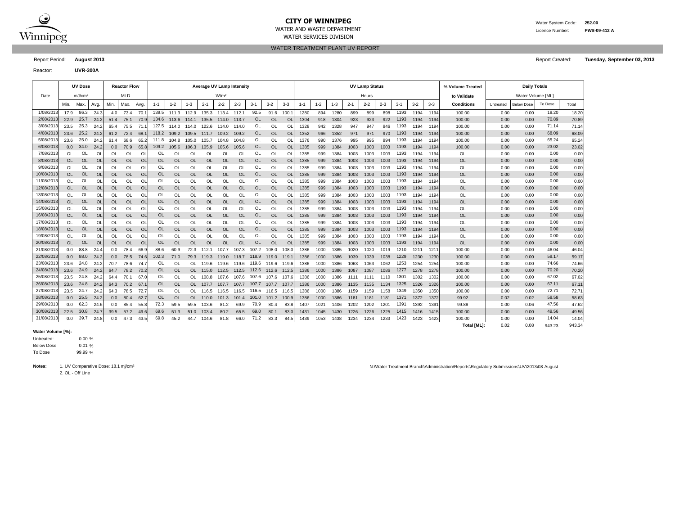

## **CITY OF WINNIPEG** WATER MANUSCRIPT WATER System Code: 252.00 WATER AND WASTE DEPARTMENT Licence Number: **PWS-09-412 A**

WATER TREATMENT PLANT UV REPORT WATER SERVICES DIVISION

Report Period: **August 2013** Report Created: **Tuesday, September 03, 2013**

Reactor: **UVR-300A**

|            |           | <b>UV Dose</b>     |           |           | <b>Reactor Flow</b> |           | <b>Average UV Lamp Intensity</b> |             |           |           |                  |           |           |           |                |         |         |         |         | <b>UV Lamp Status</b> |         |         |         | % Volume Treated | <b>Daily Totals</b> |                   |                   |         |        |
|------------|-----------|--------------------|-----------|-----------|---------------------|-----------|----------------------------------|-------------|-----------|-----------|------------------|-----------|-----------|-----------|----------------|---------|---------|---------|---------|-----------------------|---------|---------|---------|------------------|---------------------|-------------------|-------------------|---------|--------|
| Date       |           | mJ/cm <sup>2</sup> |           |           | <b>MLD</b>          |           |                                  |             |           |           | W/m <sup>2</sup> |           |           |           |                |         |         |         |         | Hours                 |         |         |         |                  | to Validate         | Water Volume [ML] |                   |         |        |
|            | Min.      | Max.               | Avg.      | Min.      | Max.                | Avg.      | $1 - 1$                          | $1 - 2$     | $1 - 3$   | $2 - 1$   | $2 - 2$          | $2 - 3$   | $3-1$     | $3 - 2$   | $3 - 3$        | $1 - 1$ | $1 - 2$ | $1 - 3$ | $2 - 1$ | $2 - 2$               | $2 - 3$ | $3 - 1$ | $3 - 2$ | $3 - 3$          | <b>Conditions</b>   | Untreated         | <b>Below Dose</b> | To Dose | Total  |
| 1/08/2013  | 17.9      | 86.3               | 24.3      | 4.0       | 73.4                | 70.       |                                  | 139.5 111.3 | 112.9     | 135.3     | 113.4            | 112.1     | 92.5      | 91.6      | 100.           | 1280    | 894     | 1280    | 899     | 899                   | 898     | 1193    | 1194    | 1194             | 100.00              | 0.00              | 0.00              | 18.20   | 18.20  |
| 2/08/2013  | 22.9      | 25.7               | 24.2      | 51.4      | 75.1                | 70.9      | 134.6                            | 113.6       | 114.1     | 135.5     | 114.0            | 113.7     | OL        | <b>OL</b> | <b>Ol</b>      | 1304    | 918     | 1304    | 923     | 923                   | 922     | 1193    | 1194    | 1194             | 100.00              | 0.00              | 0.00              | 70.89   | 70.89  |
| 3/08/2013  | 23.5      | 25.3               | 24.2      | 65.4      | 75.5                | 71.7      | 127.5                            | 114.0       | 114.0     | 122.6     | 114.0            | 114.0     | OL        | OL        | Ol             | 1328    | 942     | 1328    | 947     | 947                   | 946     | 1193    | 1194    | 1194             | 100.00              | 0.00              | 0.00              | 71.14   | 71.14  |
| 4/08/2013  | 23.6      | 25.2               | 24.2      | 61.2      | 72.4                | 68.       | 118.2                            | 109.2       | 109.5     | 111.7     | 109.2            | 109.2     | <b>OL</b> | OL        | <b>Ol</b>      | 1352    | 966     | 1352    | 971     | 971                   | 970     | 1193    | 1194    | 1194             | 100.00              | 0.00              | 0.00              | 68.09   | 68.09  |
| 5/08/2013  | 23.6      | 25.0               | 24.2      | 61.4      | 68.6                | 65.2      | 111.8                            | 104.8       | 105.0     | 105.7     | 104.8            | 104.8     | OL        | OL        | Ol             | 1376    | 990     | 1376    | 995     | 995                   | 994     | 1193    | 1194    | 1194             | 100.00              | 0.00              | 0.00              | 65.24   | 65.24  |
| 6/08/2013  | 0.0       | 34.0               | 24.2      | 0.0       | 70.9                | 65.8      | 109.2                            | 105.6       | 106.3     | 105.9     | 105.6            | 105.6     | <b>OL</b> | <b>OL</b> | <b>OL</b>      | 1385    | 999     | 1384    | 1003    | 1003                  | 1003    | 1193    | 1194    | 1194             | 100.00              | 0.00              | 0.00              | 23.02   | 23.02  |
| 7/08/2013  | <b>OL</b> | OL                 | OL        | OL        | OL                  | Ol        | OL                               | OL          | OL        | OL        | <b>OL</b>        | OL        | OL        | OL        | Ol             | 1385    | 999     | 1384    | 1003    | 1003                  | 1003    | 1193    | 1194    | 1194             | OL                  | 0.00              | 0.00              | 0.00    | 0.00   |
| 8/08/2013  | <b>OL</b> | <b>OL</b>          | OL        | OL        | <b>OL</b>           | <b>OL</b> | OL                               | <b>OL</b>   | <b>OL</b> | <b>OL</b> | <b>OL</b>        | <b>OL</b> | <b>OL</b> | <b>OL</b> | O <sub>l</sub> | 1385    | 999     | 1384    | 1003    | 1003                  | 1003    | 1193    | 1194    | 1194             | <b>OL</b>           | 0.00              | 0.00              | 0.00    | 0.00   |
| 9/08/2013  | <b>OL</b> | OL                 | OL        | OL        | <b>OL</b>           | OL        | OL                               | OL          | OL        | OL        | OL               | OL        | OL        | OL        | Ol             | 1385    | 999     | 1384    | 1003    | 1003                  | 1003    | 1193    | 1194    | 1194             | OL                  | 0.00              | 0.00              | 0.00    | 0.00   |
| 10/08/2013 | <b>OL</b> | <b>OL</b>          | OL        | <b>OL</b> | <b>OL</b>           | OL        | OL                               | <b>OL</b>   | OL        | <b>OL</b> | <b>OL</b>        | <b>OL</b> | <b>OL</b> | <b>OL</b> | O <sub>l</sub> | 1385    | 999     | 1384    | 1003    | 1003                  | 1003    | 1193    | 1194    | 1194             | <b>OL</b>           | 0.00              | 0.00              | 0.00    | 0.00   |
| 11/08/2013 | OL        | OL                 | <b>OL</b> | OL        | OL                  | OL        | OL                               | OL          | OL        | OL        | <b>OL</b>        | OL        | OL        | OL        | Ol             | 1385    | 999     | 1384    | 1003    | 1003                  | 1003    | 1193    | 1194    | 1194             | <b>OL</b>           | 0.00              | 0.00              | 0.00    | 0.00   |
| 12/08/2013 | <b>OL</b> | <b>OL</b>          | <b>OL</b> | <b>OL</b> | <b>OL</b>           | <b>OL</b> | OL                               | <b>OL</b>   | <b>OL</b> | <b>OL</b> | <b>OL</b>        | <b>OL</b> | <b>OL</b> | <b>OL</b> | O <sub>l</sub> | 1385    | 999     | 1384    | 1003    | 1003                  | 1003    | 1193    | 1194    | 1194             | <b>OL</b>           | 0.00              | 0.00              | 0.00    | 0.00   |
| 13/08/2013 | OL        | <b>OL</b>          | OL        | OL        | OL                  | OL        | OL                               | OL          | OL        | OL        | OL               | OL        | OL        | OL        | Ol             | 1385    | 999     | 1384    | 1003    | 1003                  | 1003    | 1193    | 1194    | 1194             | OL                  | 0.00              | 0.00              | 0.00    | 0.00   |
| 14/08/2013 | <b>OL</b> | <b>OL</b>          | <b>OL</b> | <b>OL</b> | <b>OL</b>           | <b>OL</b> | OL                               | <b>OL</b>   | <b>OL</b> | <b>OL</b> | <b>OL</b>        | <b>OL</b> | <b>OL</b> | <b>OL</b> | O <sub>l</sub> | 1385    | 999     | 1384    | 1003    | 1003                  | 1003    | 1193    | 1194    | 1194             | <b>OL</b>           | 0.00              | 0.00              | 0.00    | 0.00   |
| 15/08/201  | OL        | OL                 | OL        | OL        | OL                  | OL        | OL                               | OL          | OL        | OL        | <b>OL</b>        | OL        | OL        | OL        | O              | 1385    | 999     | 1384    | 1003    | 1003                  | 1003    | 1193    | 1194    | 1194             | OL                  | 0.00              | 0.00              | 0.00    | 0.00   |
| 16/08/201  | <b>OL</b> | <b>OL</b>          | <b>OL</b> | <b>OL</b> | <b>OL</b>           | <b>OL</b> | OL                               | <b>OL</b>   | <b>OL</b> | <b>OL</b> | <b>OL</b>        | <b>OL</b> | <b>OL</b> | <b>OL</b> | O <sub>l</sub> | 1385    | 999     | 1384    | 1003    | 1003                  | 1003    | 1193    | 1194    | 1194             | <b>OL</b>           | 0.00              | 0.00              | 0.00    | 0.00   |
| 17/08/201  | OL        | <b>OL</b>          | <b>Ol</b> | OL        | OL                  | OL        | OL                               | OL          | OL        | OL        | OL               | OL        | OL        | OL        | $\circ$        | 1385    | 999     | 1384    | 1003    | 1003                  | 1003    | 1193    | 1194    | 1194             | OL                  | 0.00              | 0.00              | 0.00    | 0.00   |
| 18/08/201: | <b>OL</b> | <b>OL</b>          | <b>OL</b> | OL        | <b>OL</b>           | <b>OL</b> | 0L                               | <b>OL</b>   | OL        | <b>OL</b> | <b>OL</b>        | <b>OL</b> | <b>OL</b> | <b>OL</b> | O <sub>l</sub> | 1385    | 999     | 1384    | 1003    | 1003                  | 1003    | 1193    | 1194    | 1194             | <b>OL</b>           | 0.00              | 0.00              | 0.00    | 0.00   |
| 19/08/201  | OL        | OL                 | <b>Ol</b> | OL        | OL                  | OL        | OL                               | OL          | OL        | OL        | OL               | OL        | OL        | OL        | O              | 1385    | 999     | 1384    | 1003    | 1003                  | 1003    | 1193    | 1194    | 1194             | OL                  | 0.00              | 0.00              | 0.00    | 0.00   |
| 20/08/201: | OL        | <b>OL</b>          | <b>OL</b> | <b>OL</b> | <b>OL</b>           | OL        | 0L                               | <b>OL</b>   | OL        | <b>OL</b> | <b>OL</b>        | <b>OL</b> | OL        | <b>OL</b> | O <sub>l</sub> | 1385    | 999     | 1384    | 1003    | 1003                  | 1003    | 1193    | 1194    | 1194             | <b>OL</b>           | 0.00              | 0.00              | 0.00    | 0.00   |
| 21/08/201: | 0.0       | 88.8               | 24.4      | 0.0       | 78.4                | 66.9      | 88.6                             | 60.9        | 72.3      | 112.1     | 107.7            | 107.3     | 107.2     | 108.0     | 108.           | 1386    | 1000    | 1385    | 1020    | 1020                  | 1019    | 1210    | 1211    | 121'             | 100.00              | 0.00              | 0.00              | 46.04   | 46.04  |
| 22/08/201: | 0.0       | 88.0               | 24.2      | 0.0       | 78.5                | 74.6      | 102.3                            | 71.0        | 79.3      | 119.3     | 119.0            | 118.7     | 118.9     | 119.0     | 119.           | 1386    | 1000    | 1386    | 1039    | 1039                  | 1038    | 1229    | 1230    | 1230             | 100.00              | 0.00              | 0.00              | 59.17   | 59.17  |
| 23/08/2013 | 23.6      | 24.8               | 24.2      | 70.7      | 78.6                | 74.7      | OL                               | OL          | OL.       | 119.6     | 119.6            | 119.6     | 119.6     | 119.6     | 119.6          | 1386    | 1000    | 1386    | 1063    | 1063                  | 1062    | 1253    | 1254    | 1254             | 100.00              | 0.00              | 0.00              | 74.66   | 74.66  |
| 24/08/2013 | 23.6      | 24.9               | 24.2      | 64.7      | 78.2                | 70.2      | <b>OL</b>                        | <b>OL</b>   | <b>OL</b> | 115.0     | 112.5            | 112.5     | 112.6     | 112.6     | 112.5          | 1386    | 1000    | 1386    | 1087    | 1087                  | 1086    | 1277    | 1278    | 1278             | 100.00              | 0.00              | 0.00              | 70.20   | 70.20  |
| 25/08/2013 | 23.5      | 24.8               | 24.2      | 64.4      | 70.1                | 67.       | OL                               | <b>OL</b>   | OL        | 108.8     | 107.6            | 107.6     | 107.6     | 107.6     | 107.           | 1386    | 1000    | 1386    | 1111    | 1111                  | 1110    | 1301    | 1302    | 1302             | 100.00              | 0.00              | 0.00              | 67.02   | 67.02  |
| 26/08/2013 | 23.6      | 24.8               | 24.2      | 64.3      | 70.2                | 67.       | <sub>OL</sub>                    | <b>OL</b>   | OL.       | 107.7     | 107.7            | 107.7     | 107.7     | 107.7     | 107.           | 1386    | 1000    | 1386    | 1135    | 1135                  | 1134    | 1325    | 1326    | 1326             | 100.00              | 0.00              | 0.00              | 67.11   | 67.11  |
| 27/08/2013 | 23.5      | 24.7               | 24.2      | 64.3      | 78.5                | 72.7      | OL                               | OL          | OL.       | 116.5     | 116.5            | 116.5     | 116.5     | 116.5     | 116.5          | 1386    | 1000    | 1386    | 1159    | 1159                  | 1158    | 1349    | 1350    | 1350             | 100.00              | 0.00              | 0.00              | 72.71   | 72.71  |
| 28/08/2013 | 0.0       | 25.5               | 24.2      | 0.0       | 80.4                | 62.7      | OL                               | <b>OL</b>   | OL.       | 110.0     | 101.3            | 101.4     | 101.0     | 101.2     | 100.9          | 1386    | 1000    | 1386    | 1181    | 1181                  | 1181    | 1371    | 1372    | 1372             | 99.92               | 0.02              | 0.02              | 58.58   | 58.63  |
| 29/08/2013 | 0.0       | 62.3               | 24.6      | 0.0       | 85.4                | 55.8      | 72.3                             | 59.5        | 59.5      | 103.6     | 81.2             | 69.9      | 70.9      | 80.4      | 83.8           | 1407    | 1021    | 1406    | 1202    | 1202                  | 1201    | 1391    | 1392    | 1391             | 99.88               | 0.00              | 0.06              | 47.56   | 47.62  |
| 30/08/2013 | 22.5      | 30.8               | 24.7      | 39.5      | 57.2                | 49.6      | 69.6                             | 51.3        | 51.0      | 103.4     | 80.2             | 65.5      | 69.0      | 80.1      | 83.0           | 1431    | 1045    | 1430    | 1226    | 1226                  | 1225    | 1415    | 1416    | 1415             | 100.00              | 0.00              | 0.00              | 49.56   | 49.56  |
| 31/08/201: | 0.0       | 39.7               | 24.8      | 0.0       | 47.3                | 43.5      | 69.8                             | 45.2        | 44.7      | 104.6     | 81.8             | 66.0      | 71.2      | 83.3      | 84.5           | 1439    | 1053    | 1438    | 1234    | 1234                  | 1233    | 1423    | 1423    | 1423             | 100.00              | 0.00              | 0.00              | 14.04   | 14.04  |
|            |           |                    |           |           |                     |           |                                  |             |           |           |                  |           |           |           |                |         |         |         |         |                       |         |         |         |                  | <b>Total IMLI:</b>  | 0.02              | 0.08              | 943.23  | 943.34 |

#### **Water Volume [%]:**

0.00 % 0.01 % 99.99 % To Dose Below Dose Untreated:

2. OL - Off Line

Notes: 1. UV Comparative Dose: 18.1 mj/cm<sup>2</sup> notes: 18.1 mj/cm<sup>2</sup> notes: 18.1 mj/cm<sup>2</sup> notes: 18.1 mj/cm<sup>2</sup> notes: 18.1 mj/cm<sup>2</sup> notes: 18.1 mj/cm<sup>2</sup> notes: 18.1 mj/cm<sup>2</sup> notes: 18.1 mj/cm<sup>2</sup> notes: 18.1 mj/cm<sup>2</sup> notes: 18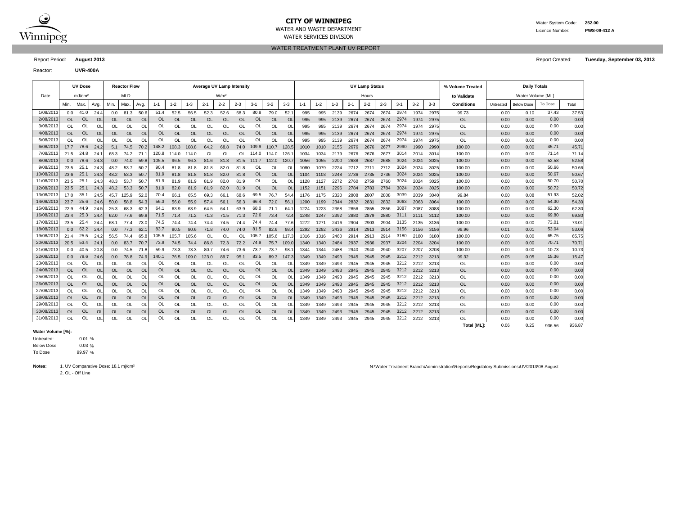

## **CITY OF WINNIPEG** WATER MANUSCRIPED WATER System Code: 252.00 WATER AND WASTE DEPARTMENT Licence Number: **PWS-09-412 A**

WATER SERVICES DIVISION

Reactor: **UVR-400A**

WATER TREATMENT PLANT UV REPORT

Report Period: **August 2013** Report Created: **Tuesday, September 03, 2013**

|            |           | <b>UV Dose</b>     |           |           | <b>Reactor Flow</b> |          | Average UV Lamp Intensity |           |           |           |                  |           |           |           |           |         |         |         |         | <b>UV Lamp Status</b> |         |         |         |         | % Volume Treated  | <b>Daily Totals</b> |                   |         |        |
|------------|-----------|--------------------|-----------|-----------|---------------------|----------|---------------------------|-----------|-----------|-----------|------------------|-----------|-----------|-----------|-----------|---------|---------|---------|---------|-----------------------|---------|---------|---------|---------|-------------------|---------------------|-------------------|---------|--------|
| Date       |           | mJ/cm <sup>2</sup> |           |           | MLD                 |          |                           |           |           |           | W/m <sup>2</sup> |           |           |           |           |         |         |         |         | Hours                 |         |         |         |         | to Validate       |                     | Water Volume [ML] |         |        |
|            | Min.      | Max.               | Avg.      | Min.      | Max.                | Avg.     | $1 - 1$                   | $1 - 2$   | $1 - 3$   | $2 - 1$   | $2 - 2$          | $2 - 3$   | $3-1$     | $3 - 2$   | $3 - 3$   | $1 - 1$ | $1 - 2$ | $1 - 3$ | $2 - 1$ | $2 - 2$               | $2 - 3$ | $3 - 1$ | $3 - 2$ | $3 - 3$ | <b>Conditions</b> | Untreated           | <b>Below Dose</b> | To Dose | Total  |
| 1/08/2013  | 0.0       | 41.0               | 24.4      | 0.0       | 81.3                | 50.6     | 51.4                      | 52.5      | 56.5      | 52.3      | 52.6             | 58.3      | 80.8      | 79.0      | 52.       | 995     | 995     | 2139    | 2674    | 2674                  | 2674    | 2974    | 1974    | 2975    | 99.73             | 0.00                | 0.10              | 37.43   | 37.53  |
| 2/08/2013  | <b>OL</b> | 0L                 | $\Omega$  | OL        | OL                  | $\Omega$ | OL                        | OL        | <b>OL</b> | <b>OL</b> | <b>OL</b>        | <b>OL</b> | OL        | <b>OL</b> | <b>OL</b> | 995     | 995     | 2139    | 2674    | 2674                  | 2674    | 2974    | 1974    | 2975    | <b>OL</b>         | 0.00                | 0.00              | 0.00    | 0.00   |
| 3/08/2013  | OL        | OL                 | Ω         | OL        | OL                  | Ol       | <b>Ol</b>                 | OL        | OL        | <b>Ol</b> | OL               | OL        | Ol        | <b>OL</b> | Ol        | 995     | 995     | 2139    | 2674    | 2674                  | 2674    | 2974    | 1974    | 2975    | OL                | 0.00                | 0.00              | 0.00    | 0.00   |
| 4/08/2013  | <b>OL</b> | <b>OL</b>          | OL        | OL        | OL                  | $\Omega$ | OL                        | <b>OL</b> | <b>OL</b> | <b>OL</b> | $\Omega$         | <b>OL</b> | OL        | <b>OL</b> | OL        | 995     | 995     | 2139    | 2674    | 2674                  | 2674    | 2974    | 1974    | 2975    | <b>OL</b>         | 0.00                | 0.00              | 0.00    | 0.00   |
| 5/08/2013  | <b>OL</b> | OL                 | $\Omega$  | OL        | OL                  | OL       | <b>Ol</b>                 | OL        | <b>OL</b> | <b>Ol</b> | OL               | OL        | Ol        | <b>OL</b> | Ω         | 995     | 995     | 2139    | 2674    | 2674                  | 2674    | 2974    | 1974    | 2975    | OL                | 0.00                | 0.00              | 0.00    | 0.00   |
| 6/08/2013  | 17.7      | 78.6               | 24.2      | 5.1       | 74.5                | 70.2     | 148.2                     | 108.3     | 108.8     | 64.2      | 68.8             | 74.0      | 109.9     | 110.7     | 128.5     | 1010    | 1010    | 2155    | 2676    | 2676                  | 2677    | 2990    | 1990    | 2990    | 100.00            | 0.00                | 0.00              | 45.71   | 45.7   |
| 7/08/2013  | 21.5      | 24.8               | 24.1      | 68.3      | 74.2                | 71.7     | 120.8                     | 114.0     | 114.0     | <b>Ol</b> | <b>OL</b>        | OL        | 114.0     | 114.0     | 126       | 1034    | 1034    | 2179    | 2676    | 2676                  | 2677    | 3014    | 2014    | 3014    | 100.00            | 0.00                | 0.00              | 71.14   | 71.14  |
| 8/08/2013  | 0.0       | 78.6               | 24.3      | 0.0       | 74.0                | 59.8     | 105.5                     | 96.5      | 96.3      | 81.6      | 81.8             | 81.5      | 111.7     | 112.0     | 120.7     | 1056    | 1055    | 2200    | 2688    | 2687                  | 2688    | 3024    | 2024    | 3025    | 100.00            | 0.00                | 0.00              | 52.58   | 52.58  |
| 9/08/2013  | 23.5      | 25.1               | 24.3      | 48.2      | 53.7                | 50.7     | 90.4                      | 81.8      | 81.8      | 81.8      | 82.0             | 81.8      | OL        | <b>OL</b> | Οl        | 1080    | 1079    | 2224    | 2712    | 2711                  | 2712    | 3024    | 2024    | 3025    | 100.00            | 0.00                | 0.00              | 50.66   | 50.66  |
| 10/08/2013 | 23.6      | 25.1               | 24.3      | 48.2      | 53.3                | 50.7     | 81.9                      | 81.8      | 81.8      | 81.8      | 82.0             | 81.8      | OL        | <b>OL</b> | <b>OL</b> | 1104    | 1103    | 2248    | 2736    | 2735                  | 2736    | 3024    | 2024    | 3025    | 100.00            | 0.00                | 0.00              | 50.67   | 50.67  |
| 11/08/2013 | 23.5      | 25.1               | 24.3      | 48.3      | 53.7                | 50.7     | 81.9                      | 81.9      | 81.9      | 81.9      | 82.0             | 81.9      | OL        | OL        | OL        | 1128    | 1127    | 2272    | 2760    | 2759                  | 2760    | 3024    | 2024    | 3025    | 100.00            | 0.00                | 0.00              | 50.70   | 50.70  |
| 12/08/2013 | 23.5      | 25.1               | 24.3      | 48.2      | 53.3                | 50.7     | 81.9                      | 82.0      | 81.9      | 81.9      | 82.0             | 81.9      | <b>OL</b> | <b>OL</b> | <b>OL</b> | 1152    | 1151    | 2296    | 2784    | 2783                  | 2784    | 3024    | 2024    | 3025    | 100.00            | 0.00                | 0.00              | 50.72   | 50.72  |
| 13/08/2013 | 17.0      | 35.1               | 24.5      | 45.7      | 125.9               | 52.0     | 70.4                      | 66.1      | 65.5      | 69.3      | 66.1             | 68.6      | 69.5      | 76.7      | 54.       | 1176    | 1175    | 2320    | 2808    | 2807                  | 2808    | 3039    | 2039    | 3040    | 99.84             | 0.00                | 0.08              | 51.93   | 52.02  |
| 14/08/2013 | 23.7      | 25.6               | 24.6      | 50.0      | 58.8                | 54.3     | 56.3                      | 56.0      | 55.9      | 57.4      | 56.1             | 56.3      | 66.4      | 72.0      | 56.       | 1200    | 1199    | 2344    | 2832    | 2831                  | 2832    | 3063    | 2063    | 3064    | 100.00            | 0.00                | 0.00              | 54.30   | 54.30  |
| 15/08/2013 | 22.9      | 44.9               | 24.5      | 25.3      | 68.3                | 62.3     | 64.1                      | 63.9      | 63.9      | 64.5      | 64.1             | 63.9      | 68.0      | 71.1      | 64        | 1224    | 1223    | 2368    | 2856    | 2855                  | 2856    | 3087    | 2087    | 3088    | 100.00            | 0.00                | 0.00              | 62.30   | 62.30  |
| 16/08/2013 | 23.4      | 25.3               | 24.4      | 62.0      | 77.6                | 69.8     | 71.5                      | 71.4      | 71.2      | 71.3      | 71.5             | 71.3      | 72.6      | 73.4      | 72.       | 1248    | 1247    | 2392    | 2880    | 2879                  | 2880    | 3111    | 2111    | 3112    | 100.00            | 0.00                | 0.00              | 69.80   | 69.80  |
| 17/08/2013 | 23.5      | 25.4               | 24.4      | 68.1      | 77.4                | 73.0     | 74.5                      | 74.4      | 74.4      | 74.4      | 74.5             | 74.4      | 74.4      | 74.4      | 77.       | 1272    | 1271    | 2416    | 2904    | 2903                  | 2904    | 3135    | 2135    | 3136    | 100.00            | 0.00                | 0.00              | 73.01   | 73.0   |
| 18/08/2013 | 0.0       | 62.2               | 24.4      | 0.0       | 77.3                | 62.      | 83.7                      | 80.5      | 80.6      | 71.8      | 74.0             | 74.0      | 81.5      | 82.6      | 98.       | 1292    | 1292    | 2436    | 2914    | 2913                  | 2914    | 3156    | 2156    | 3156    | 99.96             | 0.01                | 0.01              | 53.04   | 53.06  |
| 19/08/2013 | 21.4      | 25.5               | 24.2      | 56.5      | 74.4                | 65.8     | 105.5                     | 105.7     | 105.6     | <b>Ol</b> | ΩI               | OL.       | 105.7     | 105.6     | 117.      | 1316    | 1316    | 2460    | 2914    | 2913                  | 2914    | 3180    | 2180    | 3180    | 100.00            | 0.00                | 0.00              | 65.75   | 65.75  |
| 20/08/2013 | 20.5      | 53.4               | 24.7      | 0.0       | 83.7                | 70.7     | 73.9                      | 74.5      | 74.4      | 86.8      | 72.3             | 72.2      | 74.9      | 75.7      | 109.      | 1340    | 1340    | 2484    | 2937    | 2936                  | 2937    | 3204    | 2204    | 3204    | 100.00            | 0.00                | 0.00              | 70.71   | 70.71  |
| 21/08/201  | 0.0       | 40.5               | 20.8      | 0.0       | 74.5                | 71.8     | 59.9                      | 73.3      | 73.3      | 80.7      | 74.6             | 73.6      | 73.7      | 73.7      | 98.       | 1344    | 1344    | 2488    | 2940    | 2940                  | 2940    | 3207    | 2207    | 3208    | 100.00            | 0.00                | 0.00              | 10.73   | 10.73  |
| 22/08/2013 | 0.0       | 78.6               | 24.6      | 0.0       | 78.8                | 74.9     | 140.1                     | 76.5      | 109.0     | 123.0     | 89.7             | 95.1      | 83.5      | 89.3      | 147.3     | 1349    | 1349    | 2493    | 2945    | 2945                  | 2945    | 3212    | 2212    | 3213    | 99.32             | 0.05                | 0.05              | 15.36   | 15.47  |
| 23/08/2013 | OL        | OL                 | OL        | OL        | ΟL                  | Ol       | O                         | OL        | OL        | Ol        | OL               | ΩI        | Ol        | OL        | Ol        | 1349    | 1349    | 2493    | 2945    | 2945                  | 2945    | 3212    | 2212    | 3213    | OL                | 0.00                | 0.00              | 0.00    | 0.00   |
| 24/08/2013 | <b>OL</b> | <b>OL</b>          | <b>OL</b> | OL        | <b>OL</b>           | OL       | OL                        | <b>OL</b> | <b>OL</b> | OL        | <b>OL</b>        | <b>OL</b> | OL        | OL        | <b>OL</b> | 1349    | 1349    | 2493    | 2945    | 2945                  | 2945    | 3212    | 2212    | 3213    | <b>OL</b>         | 0.00                | 0.00              | 0.00    | 0.00   |
| 25/08/2013 | OL        | OL                 | OL        | OL        | ΟL                  | ΩI       | O                         | OL        | OL        | Ol        | OL               | OL        | Οl        | OL        | OL        | 1349    | 1349    | 2493    | 2945    | 2945                  | 2945    | 3212    | 2212    | 3213    | OL                | 0.00                | 0.00              | 0.00    | 0.00   |
| 26/08/2013 | <b>OL</b> | <b>OL</b>          | <b>OL</b> | <b>OL</b> | <b>OL</b>           | OL       | <b>OL</b>                 | <b>OL</b> | <b>OL</b> | <b>OL</b> | <b>OL</b>        | <b>OL</b> | OL        | <b>OL</b> | <b>OL</b> | 1349    | 1349    | 2493    | 2945    | 2945                  | 2945    | 3212    | 2212    | 3213    | <b>OL</b>         | 0.00                | 0.00              | 0.00    | 0.00   |
| 27/08/2013 | OL        | OL                 | O         | <b>OL</b> | OL                  | Ol       | <b>Ol</b>                 | OL        | OL        | OL        | OL               | OL        | Ol        | <b>OL</b> | Ol        | 1349    | 1349    | 2493    | 2945    | 2945                  | 2945    | 3212    | 2212    | 3213    | OL                | 0.00                | 0.00              | 0.00    | 0.00   |
| 28/08/2013 | OL        | <b>OL</b>          | OL        | <b>OL</b> | <b>OL</b>           | OL       | <b>OL</b>                 | <b>OL</b> | <b>OL</b> | <b>OL</b> | <b>OL</b>        | <b>OL</b> | OL        | <b>OL</b> | <b>OL</b> | 1349    | 1349    | 2493    | 2945    | 2945                  | 2945    | 3212    | 2212    | 3213    | <b>OL</b>         | 0.00                | 0.00              | 0.00    | 0.00   |
| 29/08/2013 | OL        | OL                 | OL        | OL        | OL                  | OL       | OL                        | OL        | OL        | OL        | OL               | OL        | OL        | <b>OL</b> | Οl        | 1349    | 1349    | 2493    | 2945    | 2945                  | 2945    | 3212    | 2212    | 3213    | OL                | 0.00                | 0.00              | 0.00    | 0.00   |
| 30/08/2013 | OL        | <b>OL</b>          | <b>OL</b> | OL        | <b>OL</b>           | OL       | OL                        | <b>OL</b> | <b>OL</b> | <b>OL</b> | <b>OL</b>        | <b>OL</b> | OL        | <b>OL</b> | <b>OL</b> | 1349    | 1349    | 2493    | 2945    | 2945                  | 2945    | 3212    | 2212    | 3213    | <b>OL</b>         | 0.00                | 0.00              | 0.00    | 0.00   |
| 31/08/2013 | OL        | OL                 | OL        | <b>OL</b> | OL                  | Ol       | OL                        | OL        | <b>OL</b> | OL        | OL               | OL        | OL        | OL        | OL        | 1349    | 1349    | 2493    | 2945    | 2945                  | 2945    | 3212    | 2212    | 3213    | OL                | 0.00                | 0.00              | 0.00    | 0.00   |
|            |           |                    |           |           |                     |          |                           |           |           |           |                  |           |           |           |           |         |         |         |         |                       |         |         |         |         | Total [ML]:       | 0.06                | 0.25              | 936.56  | 936.87 |

#### **Water Volume [%]:**

 $0.01%$  $0.03 \%$ 99.97 % To Dose Below Dose Untreated:

2. OL - Off Line

Notes: 1. UV Comparative Dose: 18.1 mj/cm<sup>2</sup> nietus and the Minister Material Districts and New Allystane and New August Administration\Reports\Regulatory Submissions\UV\2013\08-August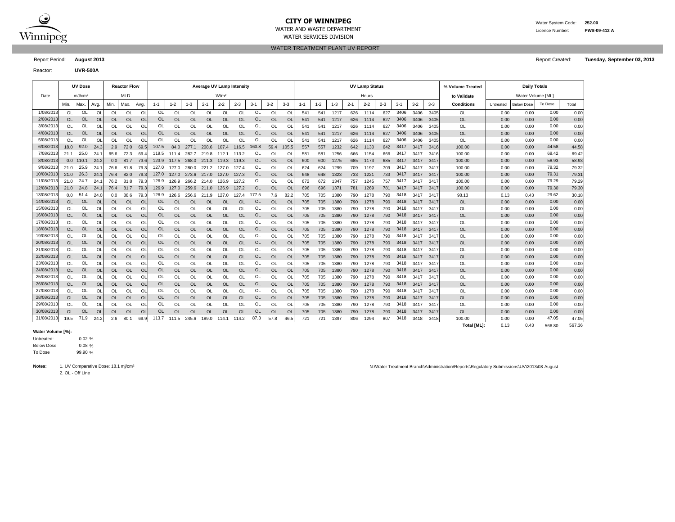

## **CITY OF WINNIPEG** WATER MANUSCRIPT WATER System Code: 252.00 WATER AND WASTE DEPARTMENT Licence Number: **PWS-09-412 A**

WATER SERVICES DIVISION

WATER TREATMENT PLANT UV REPORT

Reactor: **UVR-500A**

Report Period: **August 2013** Report Created: **Tuesday, September 03, 2013**

|            |           | <b>UV Dose</b>     |               |                | <b>Reactor Flow</b> |                | <b>Average UV Lamp Intensity</b> |           |           |             |                  |           |           |           |                |                 |         |         |         | <b>UV Lamp Status</b> |         |         |         |         | % Volume Treated  | <b>Daily Totals</b> |                   |         |       |
|------------|-----------|--------------------|---------------|----------------|---------------------|----------------|----------------------------------|-----------|-----------|-------------|------------------|-----------|-----------|-----------|----------------|-----------------|---------|---------|---------|-----------------------|---------|---------|---------|---------|-------------------|---------------------|-------------------|---------|-------|
| Date       |           | mJ/cm <sup>2</sup> |               |                | <b>MLD</b>          |                |                                  |           |           |             | W/m <sup>2</sup> |           |           |           |                |                 |         |         |         | Hours                 |         |         |         |         | to Validate       | Water Volume [ML]   |                   |         |       |
|            | Min.      | Max                | Avg.          | Min.           | Max.                | Avg.           | $1 - 1$                          | $1 - 2$   | $1 - 3$   | $2 - 1$     | $2 - 2$          | $2 - 3$   | $3 - 1$   | $3-2$     | $3 - 3$        | $1 - 1$         | $1 - 2$ | $1 - 3$ | $2 - 1$ | $2 - 2$               | $2 - 3$ | $3 - 1$ | $3 - 2$ | $3 - 3$ | <b>Conditions</b> | Untreated           | <b>Below Dose</b> | To Dose | Total |
| 1/08/201   | <b>OL</b> | OL                 | <b>OL</b>     | OL             | OL                  | O              | OL                               | <b>OL</b> | OL        | <b>OL</b>   | <b>OL</b>        | <b>OL</b> | OL        | <b>OL</b> | O              | 541             | 541     | 1217    | 626     | 1114                  | 627     | 3406    | 3406    | 3405    | OL                | 0.00                | 0.00              | 0.00    | 0.00  |
| 2/08/201   | <b>OL</b> | <b>OL</b>          | <sup>OL</sup> | <b>OL</b>      | <b>OL</b>           | <b>OL</b>      | OL                               | <b>OL</b> | <b>OL</b> | <b>OL</b>   | <b>OL</b>        | <b>OL</b> | OL        | <b>OL</b> | <b>OL</b>      | 541             | 541     | 1217    | 626     | 1114                  | 627     | 3406    | 3406    | 3405    | <b>OL</b>         | 0.00                | 0.00              | 0.00    | 0.00  |
| 3/08/201   | <b>OL</b> | OL                 | OL            | OL             | OL                  | OL             | OL                               | OL        | OL        | OL          | <b>OL</b>        | OL        | OL        | OL        | Ol             | 54 <sup>°</sup> | 541     | 1217    | 626     | 1114                  | 627     | 3406    | 3406    | 3405    | OL                | 0.00                | 0.00              | 0.00    | 0.00  |
| 4/08/2013  | <b>OL</b> | <b>OL</b>          | <b>OL</b>     | <b>OL</b>      | <b>OL</b>           | <b>OL</b>      | <b>OL</b>                        | OL.       | <b>OL</b> | <b>OL</b>   | <b>OL</b>        | <b>OL</b> | OL        | <b>OL</b> | <b>OL</b>      | 541             | 541     | 1217    | 626     | 1114                  | 627     | 3406    | 3406    | 3405    | <b>OL</b>         | 0.00                | 0.00              | 0.00    | 0.00  |
| 5/08/201   | OL        | <b>OL</b>          | OL            | OL             | OL                  | OL             | OL                               | OL        | OL        | OL          | <b>OL</b>        | OL        | OL        | OL        | O              | 541             | 541     | 1217    | 626     | 1114                  | 627     | 3406    | 3406    | 3405    | OL                | 0.00                | 0.00              | 0.00    | 0.00  |
| 6/08/201   | 18.0      | 92.0               | 24.3          | 2.9            | 72.0                | 69.5           | 107.5                            | 84.0      | 277.1     | 208.6       | 107.4            | 116.5     | 160.8     | 59.4      | 105.5          | 557             | 557     | 1232    | 642     | 1130                  | 642     | 3417    | 3417    | 3416    | 100.00            | 0.00                | 0.00              | 44.58   | 44.58 |
| 7/08/201   | 21.1      | 25.0               | 24.           | 65.6           | 72.3                | 69.4           | 119.5                            | 111.4     | 282.7     | 219.8       | 112.1            | 113.2     | OL        | OL        | Οl             | 581             | 581     | 1256    | 666     | 1154                  | 666     | 3417    | 3417    | 3416    | 100.00            | 0.00                | 0.00              | 69.42   | 69.42 |
| 8/08/201   |           | $0.0$ 110.1        | 24.2          | 0.0            | 81.7 73.6           |                | 123.9                            | 117.5     | 268.0     | 211.3       | 119.3            | 119.3     | OL        | <b>OL</b> | <b>OL</b>      | 600             | 600     | 1275    | 685     | 1173                  | 685     | 3417    | 3417    | 3417    | 100.00            | 0.00                | 0.00              | 58.93   | 58.93 |
| 9/08/201   | 21.0      | 25.9               | 24            | 76.6           | 81.8                | 79.3           | 127.0                            | 127.0     | 280.0     | 221.2 127.0 |                  | 127.4     | OL        | $\Omega$  | O              | 624             | 624     | 1299    | 709     | 1197                  | 709     | 3417    | 3417    | 3417    | 100.00            | 0.00                | 0.00              | 79.32   | 79.32 |
| 10/08/201  | 21.0 26.3 |                    | 24.           | 76.4           | 82.0                | 79.3           | 127.0                            | 127.0     | 273.6     | 217.0       | 127.0            | 127.3     | <b>OL</b> | $\Omega$  | <b>OL</b>      | 648             | 648     | 1323    | 733     | 1221                  | 733     | 3417    | 3417    | 3417    | 100.00            | 0.00                | 0.00              | 79.31   | 79.31 |
| 11/08/201  | 21.0      | 24.7               | 24.           | 76.2           | 81.8                | 79.3           | 126.9                            | 126.9     | 266.2     | 214.0       | 126.9            | 127.2     | OL        | OL        | O              | 672             | 672     | 1347    | 757     | 1245                  | 757     | 3417    | 3417    | 3417    | 100.00            | 0.00                | 0.00              | 79.29   | 79.29 |
| 12/08/201  | 21.0      | 24.8               | 24.           | 76.4           | 81.7                | 79.3           | 126.9                            | 127.0     | 259.6     | 211.0       | 126.9            | 127.2     | OL        | $\Omega$  | O <sub>l</sub> | 696             | 696     | 137'    | 781     | 1269                  | 781     | 3417    | 3417    | 3417    | 100.00            | 0.00                | 0.00              | 79.30   | 79.30 |
| 13/08/201  | 0.0       | 51.4               | 24.0          | 0.0            | 88.6                | 79.3           | 126.9                            | 126.6     | 256.6     | 211.9       | 127.0            | 127.4     | 177.5     | 7.6       | 82.            | 705             | 705     | 1380    | 790     | 1278                  | 790     | 3418    | 3417    | 3417    | 98.13             | 0.13                | 0.43              | 29.62   | 30.18 |
| 14/08/2013 | <b>OL</b> | <b>OL</b>          | <b>OL</b>     | <b>OL</b>      | <b>OL</b>           | <b>OL</b>      | <b>OL</b>                        | OL.       | OL        | <b>OL</b>   | <b>OL</b>        | <b>OL</b> | <b>OL</b> | $\Omega$  | O <sub>l</sub> | 705             | 705     | 1380    | 790     | 1278                  | 790     | 3418    | 3417    | 3417    | <b>OL</b>         | 0.00                | 0.00              | 0.00    | 0.00  |
| 15/08/201  | OL.       | OL                 | OL            | OL             | OL                  | OL             | OL                               | OL        | OL        | OL          | OL               | OL        | OL        | OL        | O              | 705             | 705     | 1380    | 790     | 1278                  | 790     | 3418    | 3417    | 3417    | OL                | 0.00                | 0.00              | 0.00    | 0.00  |
| 16/08/201  | <b>OL</b> | <b>OL</b>          | <sup>OL</sup> | <b>OL</b>      | <b>OL</b>           | <b>OL</b>      | <b>OL</b>                        | $\Omega$  | OL        | <b>OL</b>   | <b>OL</b>        | OL        | <b>OL</b> | <b>OL</b> | <sup>Ol</sup>  | 705             | 705     | 1380    | 790     | 1278                  | 790     | 3418    | 3417    | 3417    | OL                | 0.00                | 0.00              | 0.00    | 0.00  |
| 17/08/201  | 0L        | <b>OL</b>          | <b>OL</b>     | OL             | OL                  | OL             | OL                               | OL        | OL        | OL          | OL               | OL        | OL        | OL        | O              | 705             | 705     | 1380    | 790     | 1278                  | 790     | 3418    | 3417    | 3417    | OL                | 0.00                | 0.00              | 0.00    | 0.00  |
| 18/08/201  | OL        | <b>OL</b>          | <b>OL</b>     | OL             | <b>OL</b>           | O <sub>l</sub> | 0L                               | $\Omega$  | OL        | OL          | $\Omega$         | OL        | OL        | OL        | O <sub>l</sub> | 705             | 705     | 1380    | 790     | 1278                  | 790     | 3418    | 3417    | 3417    | <b>OL</b>         | 0.00                | 0.00              | 0.00    | 0.00  |
| 19/08/201  | OL.       | <b>OL</b>          | OL            | OL.            | OL.                 | O              | OL                               | <b>OL</b> | OL        | $\Omega$    | OL               | OL        | OL        | OL        | $\circ$        | 705             | 705     | 1380    | 790     | 1278                  | 790     | 3418    | 3417    | 3417    | OL                | 0.00                | 0.00              | 0.00    | 0.00  |
| 20/08/201  | OL        | <b>OL</b>          | <b>OL</b>     | <b>OL</b>      | <b>OL</b>           | OL             | OL                               | $\Omega$  | OL        | OL          | <b>OL</b>        | <b>OL</b> | <b>OL</b> | <b>OL</b> | O <sub>l</sub> | 705             | 705     | 1380    | 790     | 1278                  | 790     | 3418    | 3417    | 3417    | <b>OL</b>         | 0.00                | 0.00              | 0.00    | 0.00  |
| 21/08/201  | OL        | OL                 | OL            | OL             | OL                  | OL             | OL                               | <b>OL</b> | OL        | OL          | OL               | OL        | <b>OL</b> | OL        | O              | 705             | 705     | 1380    | 790     | 1278                  | 790     | 3418    | 3417    | 3417    | OL                | 0.00                | 0.00              | 0.00    | 0.00  |
| 22/08/201  | <b>OL</b> | <b>OL</b>          | OL            | <b>OL</b>      | <b>OL</b>           | OL             | OL                               | <b>OL</b> | OL        | <b>OL</b>   | <b>OL</b>        | <b>OL</b> | OL        | <b>OL</b> | <b>OL</b>      | 705             | 705     | 1380    | 790     | 1278                  | 790     | 3418    | 3417    | 3417    | OL                | 0.00                | 0.00              | 0.00    | 0.00  |
| 23/08/201  | <b>OL</b> | OL                 | OL            | OL             | OL                  | OL             | OL                               | OL        | OL        | $\Omega$    | OL               | OL        | OL        | OL        | O              | 705             | 705     | 1380    | 790     | 1278                  | 790     | 3418    | 3417    | 3417    | OL                | 0.00                | 0.00              | 0.00    | 0.00  |
| 24/08/2013 | <b>OL</b> | <b>OL</b>          | <b>OL</b>     | <b>OL</b>      | <b>OL</b>           | <b>OL</b>      | <b>OL</b>                        | $\Omega$  | <b>OL</b> | OL          | <b>OL</b>        | <b>OL</b> | <b>OL</b> | <b>OL</b> | <b>OL</b>      | 705             | 705     | 1380    | 790     | 1278                  | 790     | 3418    | 3417    | 3417    | <b>OL</b>         | 0.00                | 0.00              | 0.00    | 0.00  |
| 25/08/201  | <b>OL</b> | OL                 | <b>OL</b>     | OL             | OL                  | OL             | OL                               | <b>OL</b> | OL        | OL          | <b>OL</b>        | OL        | OL        | OL        | O              | 705             | 705     | 1380    | 790     | 1278                  | 790     | 3418    | 3417    | 3417    | OL                | 0.00                | 0.00              | 0.00    | 0.00  |
| 26/08/201  | <b>OL</b> | <b>OL</b>          | <b>OL</b>     | <b>OL</b>      | <b>OL</b>           | OL             | <b>OL</b>                        | <b>OL</b> | OL        | <b>OL</b>   | <b>OL</b>        | <b>OL</b> | <b>OL</b> | <b>OL</b> | <b>OL</b>      | 705             | 705     | 1380    | 790     | 1278                  | 790     | 3418    | 3417    | 3417    | OL                | 0.00                | 0.00              | 0.00    | 0.00  |
| 27/08/201  | <b>OL</b> | OL                 | <b>OL</b>     | <sup>O</sup> L | $\Omega$            | $\Omega$       | OL                               | $\Omega$  | OL        | $\Omega$    | $\Omega$         | <b>OL</b> | OL        | $\Omega$  | O              | 705             | 705     | 1380    | 790     | 1278                  | 790     | 3418    | 3417    | 3417    | OL                | 0.00                | 0.00              | 0.00    | 0.00  |
| 28/08/201  | OL        | <b>OL</b>          | <b>OL</b>     | <b>OL</b>      | <b>OL</b>           | O <sub>l</sub> | <b>OL</b>                        | $\Omega$  | OL        | OL          | <b>OL</b>        | OL        | <b>OL</b> | <b>OL</b> | OL             | 705             | 705     | 1380    | 790     | 1278                  | 790     | 3418    | 3417    | 3417    | OL                | 0.00                | 0.00              | 0.00    | 0.00  |
| 29/08/201  | <b>OL</b> | <b>OL</b>          | OL            | OL             | OL                  | Ol             | OL                               | വ         | Ol        | OL          |                  | OL        | OL        | OL        | $\circ$        | 705             | 705     | 1380    | 790     | 1278                  | 790     | 3418    | 3417    | 3417    | OL                | 0.00                | 0.00              | 0.00    | 0.00  |
| 30/08/201  | <b>OL</b> | OL                 | <b>OL</b>     | <b>OL</b>      | <b>OL</b>           | OL             | <b>OL</b>                        | n         | OL        | <b>OL</b>   | <b>OL</b>        | <b>OL</b> | OL        | <b>OL</b> | O <sub>l</sub> | 705             | 705     | 1380    | 790     | 1278                  | 790     | 3418    | 3417    | 3417    | OL                | 0.00                | 0.00              | 0.00    | 0.00  |
| 31/08/2013 | 19.5      | 71.9               | 24.2          | 2.6            | 80.1                | 69.9           | 113.7                            | 111.5     | 245.6     | 189.0       | 114.1            | 114.2     | 87.3      | 57.8      | 46.5           | 721             | 721     | 1397    | 806     | 1294                  | 807     | 3418    | 3418    | 3418    | 100.00            | 0.00                | 0.00              | 47.05   | 47.05 |

#### **Water Volume [%]:**

0.02 % 0.08 % Below Dose Untreated:

2. OL - Off Line

Notes: 1. UV Comparative Dose: 18.1 mj/cm<sup>2</sup> notes: 18.1 mj/cm<sup>2</sup> notes: 18.1 mj/cm<sup>2</sup> notes: 18.1 mj/cm<sup>2</sup> notes: 18.1 mj/cm<sup>2</sup> notes: 18.1 mj/cm<sup>2</sup> notes: 18.1 mj/cm<sup>2</sup> notes: 18.1 mj/cm<sup>2</sup> notes: 18.1 mj/cm<sup>2</sup> notes: 18

**Total [ML]:** 0.13 0.43 566.80 567.36

99.90 % To Dose